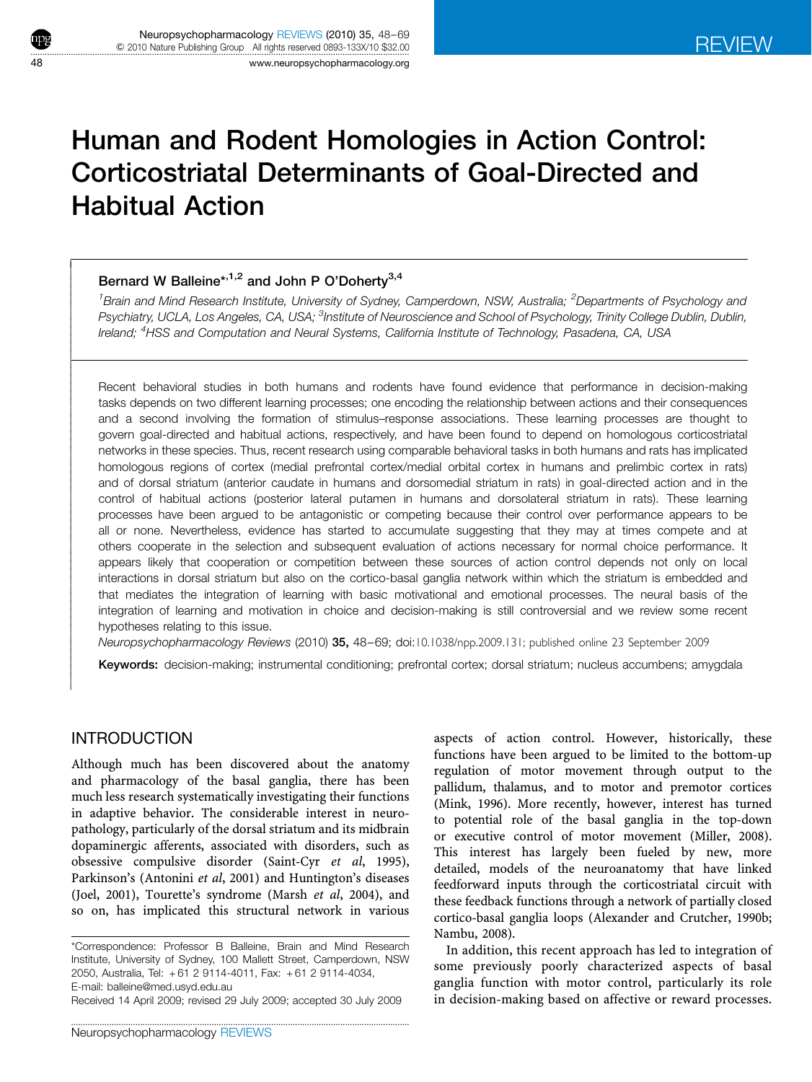# Human and Rodent Homologies in Action Control: Corticostriatal Determinants of Goal-Directed and Habitual Action

# Bernard W Balleine<sup>\*,1,2</sup> and John P O'Doherty<sup>3,4</sup>

<sup>1</sup>Brain and Mind Research Institute, University of Sydney, Camperdown, NSW, Australia; <sup>2</sup>Departments of Psychology and Psychiatry, UCLA, Los Angeles, CA, USA; <sup>3</sup>Institute of Neuroscience and School of Psychology, Trinity College Dublin, Dublin, Ireland; <sup>4</sup>HSS and Computation and Neural Systems, California Institute of Technology, Pasadena, CA, USA

Recent behavioral studies in both humans and rodents have found evidence that performance in decision-making tasks depends on two different learning processes; one encoding the relationship between actions and their consequences and a second involving the formation of stimulus–response associations. These learning processes are thought to govern goal-directed and habitual actions, respectively, and have been found to depend on homologous corticostriatal networks in these species. Thus, recent research using comparable behavioral tasks in both humans and rats has implicated homologous regions of cortex (medial prefrontal cortex/medial orbital cortex in humans and prelimbic cortex in rats) and of dorsal striatum (anterior caudate in humans and dorsomedial striatum in rats) in goal-directed action and in the control of habitual actions (posterior lateral putamen in humans and dorsolateral striatum in rats). These learning processes have been argued to be antagonistic or competing because their control over performance appears to be all or none. Nevertheless, evidence has started to accumulate suggesting that they may at times compete and at others cooperate in the selection and subsequent evaluation of actions necessary for normal choice performance. It appears likely that cooperation or competition between these sources of action control depends not only on local interactions in dorsal striatum but also on the cortico-basal ganglia network within which the striatum is embedded and that mediates the integration of learning with basic motivational and emotional processes. The neural basis of the integration of learning and motivation in choice and decision-making is still controversial and we review some recent hypotheses relating to this issue.

Neuropsychopharmacology Reviews (2010) 35, 48–69; doi:[10.1038/npp.2009.131;](http://dx.doi.org/10.1038/npp.2009.131) published online 23 September 2009

Keywords: decision-making; instrumental conditioning; prefrontal cortex; dorsal striatum; nucleus accumbens; amygdala

### INTRODUCTION

<u>ا</u>  $\overline{1}$  $\overline{\phantom{a}}$  $\overline{\phantom{a}}$  $\overline{\phantom{a}}$  $\overline{\phantom{a}}$  $\overline{\phantom{a}}$  $\overline{\phantom{a}}$  $\overline{\phantom{a}}$  $\overline{\phantom{a}}$  $\overline{\phantom{a}}$  $\overline{\phantom{a}}$  $\overline{\phantom{a}}$ - $\overline{\phantom{a}}$  $\overline{\phantom{a}}$  $\overline{\phantom{a}}$  $\overline{\phantom{a}}$  $\overline{\phantom{a}}$  $\overline{\phantom{a}}$  $\overline{\phantom{a}}$  $\overline{\phantom{a}}$  $\overline{\phantom{a}}$  $\overline{\phantom{a}}$  $\overline{\phantom{a}}$  $\overline{\phantom{a}}$  $\overline{\phantom{a}}$  $\overline{\phantom{a}}$  $\overline{\phantom{a}}$  $\overline{\phantom{a}}$  $\overline{\phantom{a}}$  $\overline{\phantom{a}}$  $\overline{\phantom{a}}$  $\overline{\phantom{a}}$  $\overline{\phantom{a}}$  $\overline{\phantom{a}}$  $\overline{\phantom{a}}$  $\overline{\phantom{a}}$  $\overline{\phantom{a}}$  $\overline{\phantom{a}}$  $\overline{\phantom{a}}$  $\overline{\phantom{a}}$  $\overline{\phantom{a}}$  $\overline{\phantom{a}}$  $\overline{\phantom{a}}$  $\overline{\phantom{a}}$  $\overline{\phantom{a}}$  $\overline{\phantom{a}}$  $\overline{\phantom{a}}$  $\overline{\phantom{a}}$  $\overline{\phantom{a}}$  $\overline{\phantom{a}}$  $\overline{\phantom{a}}$  $\overline{\phantom{a}}$ 

> Although much has been discovered about the anatomy and pharmacology of the basal ganglia, there has been much less research systematically investigating their functions in adaptive behavior. The considerable interest in neuropathology, particularly of the dorsal striatum and its midbrain dopaminergic afferents, associated with disorders, such as obsessive compulsive disorder ([Saint-Cyr](#page-20-0) et al, 1995), Parkinson's [\(Antonini](#page-17-0) et al, 2001) and Huntington's diseases ([Joel, 2001](#page-19-0)), Tourette's syndrome (Marsh et al[, 2004\)](#page-19-0), and so on, has implicated this structural network in various

.............................................................................................................................................. Neuropsychopharmacology REVIEWS

aspects of action control. However, historically, these functions have been argued to be limited to the bottom-up regulation of motor movement through output to the pallidum, thalamus, and to motor and premotor cortices ([Mink, 1996](#page-19-0)). More recently, however, interest has turned to potential role of the basal ganglia in the top-down or executive control of motor movement ([Miller, 2008\)](#page-19-0). This interest has largely been fueled by new, more detailed, models of the neuroanatomy that have linked feedforward inputs through the corticostriatal circuit with these feedback functions through a network of partially closed cortico-basal ganglia loops [\(Alexander and Crutcher, 1990b](#page-17-0); [Nambu, 2008](#page-19-0)).

In addition, this recent approach has led to integration of some previously poorly characterized aspects of basal ganglia function with motor control, particularly its role Received 14 April 2009; revised 29 July 2009; accepted 30 July 2009 in decision-making based on affective or reward processes.

<sup>\*</sup>Correspondence: Professor B Balleine, Brain and Mind Research Institute, University of Sydney, 100 Mallett Street, Camperdown, NSW 2050, Australia, Tel: + 61 2 9114-4011, Fax: + 61 2 9114-4034, E-mail: [balleine@med.usyd.edu.au](mailto:balleine@med.usyd.edu.au)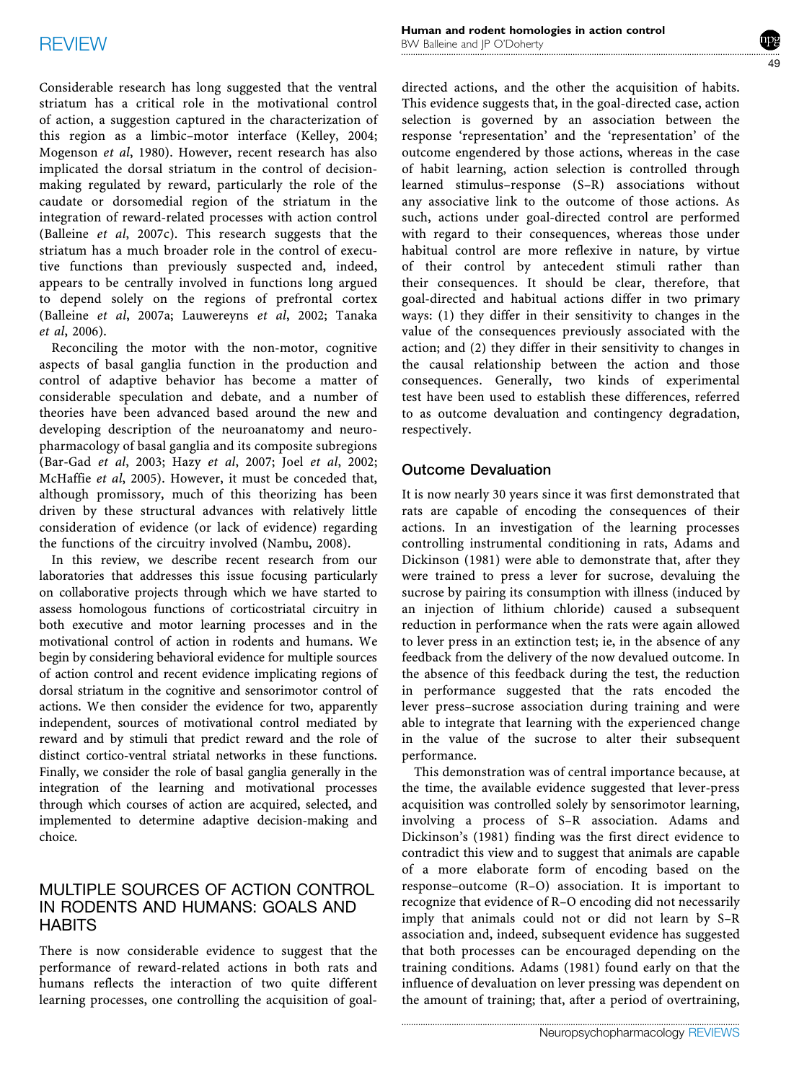Considerable research has long suggested that the ventral striatum has a critical role in the motivational control of action, a suggestion captured in the characterization of this region as a limbic–motor interface ([Kelley, 2004;](#page-19-0) [Mogenson](#page-19-0) et al, 1980). However, recent research has also implicated the dorsal striatum in the control of decisionmaking regulated by reward, particularly the role of the caudate or dorsomedial region of the striatum in the integration of reward-related processes with action control [\(Balleine](#page-17-0) et al, 2007c). This research suggests that the striatum has a much broader role in the control of executive functions than previously suspected and, indeed, appears to be centrally involved in functions long argued to depend solely on the regions of prefrontal cortex [\(Balleine](#page-17-0) et al, 2007a; [Lauwereyns](#page-19-0) et al, 2002; [Tanaka](#page-20-0) et al[, 2006](#page-20-0)).

Reconciling the motor with the non-motor, cognitive aspects of basal ganglia function in the production and control of adaptive behavior has become a matter of considerable speculation and debate, and a number of theories have been advanced based around the new and developing description of the neuroanatomy and neuropharmacology of basal ganglia and its composite subregions [\(Bar-Gad](#page-17-0) et al, 2003; Hazy et al[, 2007](#page-19-0); Joel et al[, 2002;](#page-19-0) [McHaffie](#page-19-0) et al, 2005). However, it must be conceded that, although promissory, much of this theorizing has been driven by these structural advances with relatively little consideration of evidence (or lack of evidence) regarding the functions of the circuitry involved [\(Nambu, 2008](#page-19-0)).

In this review, we describe recent research from our laboratories that addresses this issue focusing particularly on collaborative projects through which we have started to assess homologous functions of corticostriatal circuitry in both executive and motor learning processes and in the motivational control of action in rodents and humans. We begin by considering behavioral evidence for multiple sources of action control and recent evidence implicating regions of dorsal striatum in the cognitive and sensorimotor control of actions. We then consider the evidence for two, apparently independent, sources of motivational control mediated by reward and by stimuli that predict reward and the role of distinct cortico-ventral striatal networks in these functions. Finally, we consider the role of basal ganglia generally in the integration of the learning and motivational processes through which courses of action are acquired, selected, and implemented to determine adaptive decision-making and choice.

### MULTIPLE SOURCES OF ACTION CONTROL IN RODENTS AND HUMANS: GOALS AND **HABITS**

There is now considerable evidence to suggest that the performance of reward-related actions in both rats and humans reflects the interaction of two quite different learning processes, one controlling the acquisition of goaldirected actions, and the other the acquisition of habits. This evidence suggests that, in the goal-directed case, action selection is governed by an association between the response 'representation' and the 'representation' of the outcome engendered by those actions, whereas in the case of habit learning, action selection is controlled through learned stimulus–response (S–R) associations without any associative link to the outcome of those actions. As such, actions under goal-directed control are performed with regard to their consequences, whereas those under habitual control are more reflexive in nature, by virtue of their control by antecedent stimuli rather than their consequences. It should be clear, therefore, that goal-directed and habitual actions differ in two primary ways: (1) they differ in their sensitivity to changes in the value of the consequences previously associated with the action; and (2) they differ in their sensitivity to changes in the causal relationship between the action and those consequences. Generally, two kinds of experimental test have been used to establish these differences, referred to as outcome devaluation and contingency degradation, respectively.

### Outcome Devaluation

It is now nearly 30 years since it was first demonstrated that rats are capable of encoding the consequences of their actions. In an investigation of the learning processes controlling instrumental conditioning in rats, [Adams and](#page-17-0) [Dickinson \(1981\)](#page-17-0) were able to demonstrate that, after they were trained to press a lever for sucrose, devaluing the sucrose by pairing its consumption with illness (induced by an injection of lithium chloride) caused a subsequent reduction in performance when the rats were again allowed to lever press in an extinction test; ie, in the absence of any feedback from the delivery of the now devalued outcome. In the absence of this feedback during the test, the reduction in performance suggested that the rats encoded the lever press–sucrose association during training and were able to integrate that learning with the experienced change in the value of the sucrose to alter their subsequent performance.

This demonstration was of central importance because, at the time, the available evidence suggested that lever-press acquisition was controlled solely by sensorimotor learning, involving a process of S–R association. [Adams and](#page-17-0) [Dickinson's \(1981\)](#page-17-0) finding was the first direct evidence to contradict this view and to suggest that animals are capable of a more elaborate form of encoding based on the response–outcome (R–O) association. It is important to recognize that evidence of R–O encoding did not necessarily imply that animals could not or did not learn by S–R association and, indeed, subsequent evidence has suggested that both processes can be encouraged depending on the training conditions. [Adams \(1981\)](#page-17-0) found early on that the influence of devaluation on lever pressing was dependent on the amount of training; that, after a period of overtraining,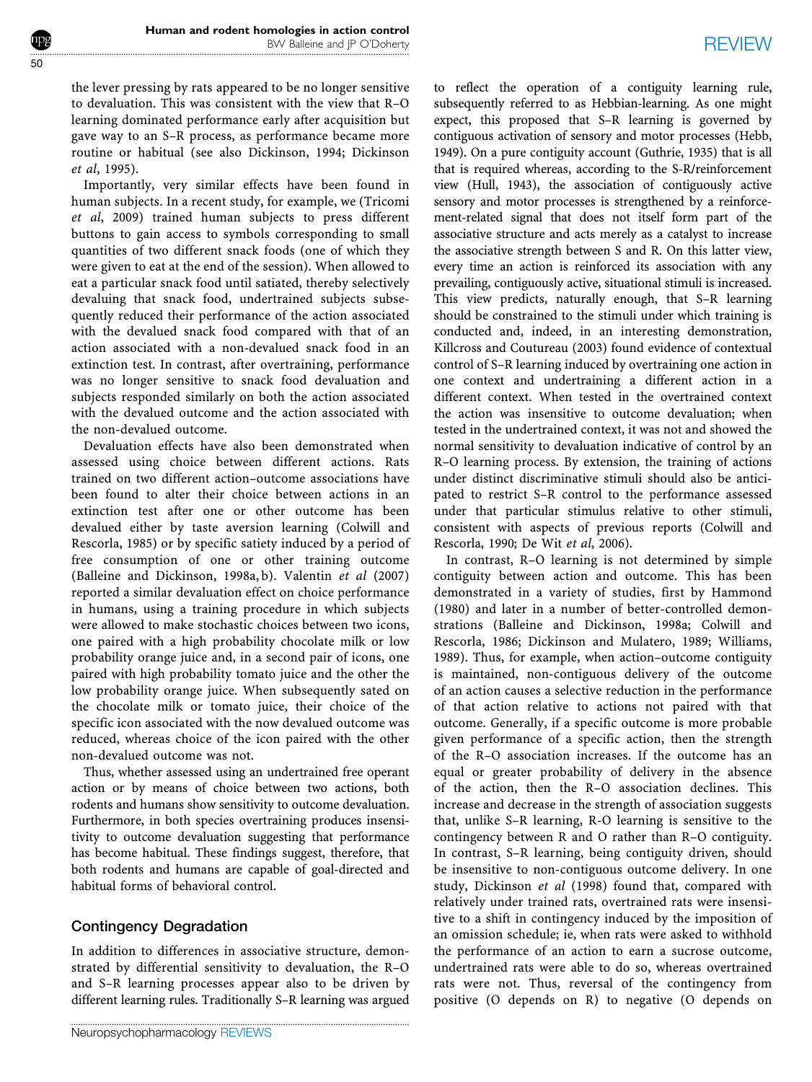the lever pressing by rats appeared to be no longer sensitive to devaluation. This was consistent with the view that R–O learning dominated performance early after acquisition but gave way to an S–R process, as performance became more routine or habitual (see also [Dickinson, 1994; Dickinson](#page-18-0) et al[, 1995\)](#page-18-0).

Importantly, very similar effects have been found in human subjects. In a recent study, for example, we [\(Tricomi](#page-20-0) et al[, 2009\)](#page-20-0) trained human subjects to press different buttons to gain access to symbols corresponding to small quantities of two different snack foods (one of which they were given to eat at the end of the session). When allowed to eat a particular snack food until satiated, thereby selectively devaluing that snack food, undertrained subjects subsequently reduced their performance of the action associated with the devalued snack food compared with that of an action associated with a non-devalued snack food in an extinction test. In contrast, after overtraining, performance was no longer sensitive to snack food devaluation and subjects responded similarly on both the action associated with the devalued outcome and the action associated with the non-devalued outcome.

Devaluation effects have also been demonstrated when assessed using choice between different actions. Rats trained on two different action–outcome associations have been found to alter their choice between actions in an extinction test after one or other outcome has been devalued either by taste aversion learning [\(Colwill and](#page-18-0) [Rescorla, 1985\)](#page-18-0) or by specific satiety induced by a period of free consumption of one or other training outcome ([Balleine and Dickinson, 1998a, b](#page-17-0)). [Valentin](#page-20-0) et al (2007) reported a similar devaluation effect on choice performance in humans, using a training procedure in which subjects were allowed to make stochastic choices between two icons, one paired with a high probability chocolate milk or low probability orange juice and, in a second pair of icons, one paired with high probability tomato juice and the other the low probability orange juice. When subsequently sated on the chocolate milk or tomato juice, their choice of the specific icon associated with the now devalued outcome was reduced, whereas choice of the icon paired with the other non-devalued outcome was not.

Thus, whether assessed using an undertrained free operant action or by means of choice between two actions, both rodents and humans show sensitivity to outcome devaluation. Furthermore, in both species overtraining produces insensitivity to outcome devaluation suggesting that performance has become habitual. These findings suggest, therefore, that both rodents and humans are capable of goal-directed and habitual forms of behavioral control.

### Contingency Degradation

In addition to differences in associative structure, demonstrated by differential sensitivity to devaluation, the R–O and S–R learning processes appear also to be driven by different learning rules. Traditionally S–R learning was argued to reflect the operation of a contiguity learning rule, subsequently referred to as Hebbian-learning. As one might expect, this proposed that S–R learning is governed by contiguous activation of sensory and motor processes [\(Hebb,](#page-19-0) [1949\)](#page-19-0). On a pure contiguity account [\(Guthrie, 1935\)](#page-18-0) that is all that is required whereas, according to the S-R/reinforcement view [\(Hull, 1943](#page-19-0)), the association of contiguously active sensory and motor processes is strengthened by a reinforcement-related signal that does not itself form part of the associative structure and acts merely as a catalyst to increase the associative strength between S and R. On this latter view, every time an action is reinforced its association with any prevailing, contiguously active, situational stimuli is increased. This view predicts, naturally enough, that S–R learning should be constrained to the stimuli under which training is conducted and, indeed, in an interesting demonstration, [Killcross and Coutureau \(2003\)](#page-19-0) found evidence of contextual control of S–R learning induced by overtraining one action in one context and undertraining a different action in a different context. When tested in the overtrained context the action was insensitive to outcome devaluation; when tested in the undertrained context, it was not and showed the normal sensitivity to devaluation indicative of control by an R–O learning process. By extension, the training of actions under distinct discriminative stimuli should also be anticipated to restrict S–R control to the performance assessed under that particular stimulus relative to other stimuli, consistent with aspects of previous reports [\(Colwill and](#page-18-0) [Rescorla, 1990](#page-18-0); [De Wit](#page-18-0) et al, 2006).

In contrast, R–O learning is not determined by simple contiguity between action and outcome. This has been demonstrated in a variety of studies, first by [Hammond](#page-19-0) [\(1980\)](#page-19-0) and later in a number of better-controlled demonstrations ([Balleine and Dickinson, 1998a;](#page-17-0) [Colwill and](#page-18-0) [Rescorla, 1986](#page-18-0); [Dickinson and Mulatero, 1989;](#page-18-0) [Williams,](#page-20-0) [1989](#page-20-0)). Thus, for example, when action–outcome contiguity is maintained, non-contiguous delivery of the outcome of an action causes a selective reduction in the performance of that action relative to actions not paired with that outcome. Generally, if a specific outcome is more probable given performance of a specific action, then the strength of the R–O association increases. If the outcome has an equal or greater probability of delivery in the absence of the action, then the R–O association declines. This increase and decrease in the strength of association suggests that, unlike S–R learning, R-O learning is sensitive to the contingency between R and O rather than R–O contiguity. In contrast, S–R learning, being contiguity driven, should be insensitive to non-contiguous outcome delivery. In one study, [Dickinson](#page-18-0) et al (1998) found that, compared with relatively under trained rats, overtrained rats were insensitive to a shift in contingency induced by the imposition of an omission schedule; ie, when rats were asked to withhold the performance of an action to earn a sucrose outcome, undertrained rats were able to do so, whereas overtrained rats were not. Thus, reversal of the contingency from positive (O depends on R) to negative (O depends on

 $50$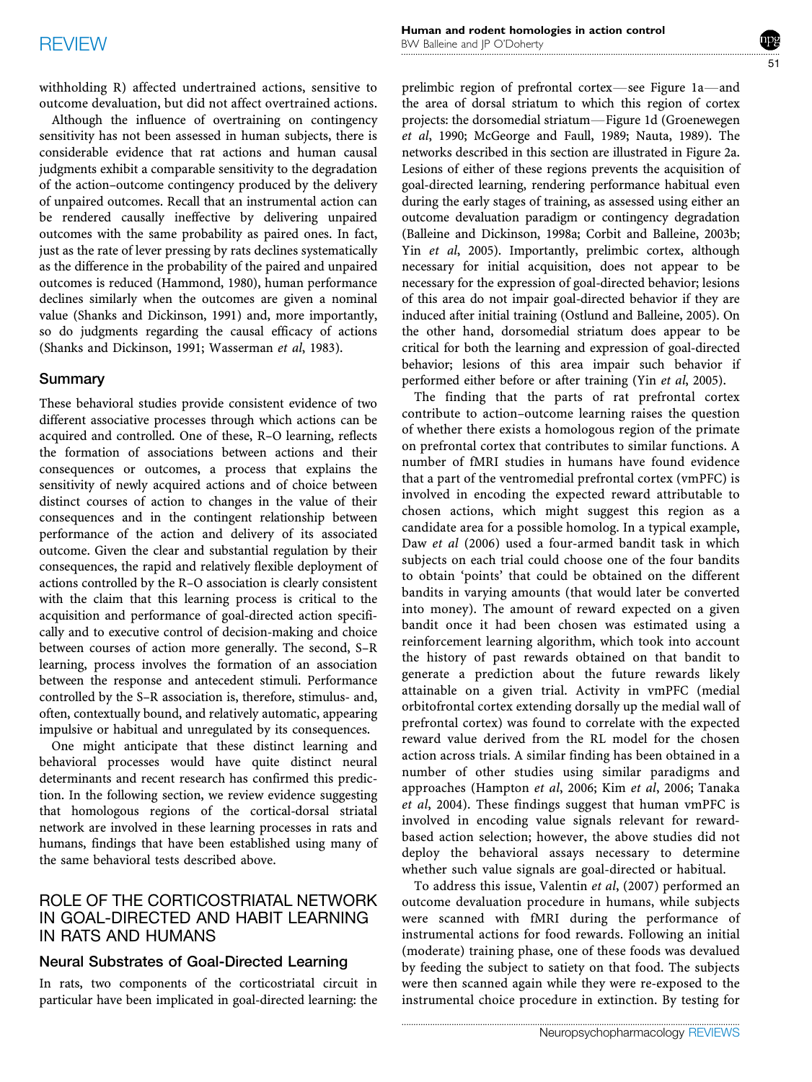............................................................................................................................................................... 51

withholding R) affected undertrained actions, sensitive to outcome devaluation, but did not affect overtrained actions.

Although the influence of overtraining on contingency sensitivity has not been assessed in human subjects, there is considerable evidence that rat actions and human causal judgments exhibit a comparable sensitivity to the degradation of the action–outcome contingency produced by the delivery of unpaired outcomes. Recall that an instrumental action can be rendered causally ineffective by delivering unpaired outcomes with the same probability as paired ones. In fact, just as the rate of lever pressing by rats declines systematically as the difference in the probability of the paired and unpaired outcomes is reduced [\(Hammond, 1980\)](#page-19-0), human performance declines similarly when the outcomes are given a nominal value [\(Shanks and Dickinson, 1991\)](#page-20-0) and, more importantly, so do judgments regarding the causal efficacy of actions [\(Shanks and Dickinson, 1991; Wasserman](#page-20-0) et al, 1983).

### Summary

These behavioral studies provide consistent evidence of two different associative processes through which actions can be acquired and controlled. One of these, R–O learning, reflects the formation of associations between actions and their consequences or outcomes, a process that explains the sensitivity of newly acquired actions and of choice between distinct courses of action to changes in the value of their consequences and in the contingent relationship between performance of the action and delivery of its associated outcome. Given the clear and substantial regulation by their consequences, the rapid and relatively flexible deployment of actions controlled by the R–O association is clearly consistent with the claim that this learning process is critical to the acquisition and performance of goal-directed action specifically and to executive control of decision-making and choice between courses of action more generally. The second, S–R learning, process involves the formation of an association between the response and antecedent stimuli. Performance controlled by the S–R association is, therefore, stimulus- and, often, contextually bound, and relatively automatic, appearing impulsive or habitual and unregulated by its consequences.

One might anticipate that these distinct learning and behavioral processes would have quite distinct neural determinants and recent research has confirmed this prediction. In the following section, we review evidence suggesting that homologous regions of the cortical-dorsal striatal network are involved in these learning processes in rats and humans, findings that have been established using many of the same behavioral tests described above.

### ROLE OF THE CORTICOSTRIATAL NETWORK IN GOAL-DIRECTED AND HABIT LEARNING IN RATS AND HUMANS

### Neural Substrates of Goal-Directed Learning

In rats, two components of the corticostriatal circuit in particular have been implicated in goal-directed learning: the prelimbic region of prefrontal cortex-see [Figure 1a](#page-4-0)-and the area of dorsal striatum to which this region of cortex projects: the dorsomedial striatum-[Figure 1d](#page-4-0) ([Groenewegen](#page-18-0) et al[, 1990](#page-18-0); [McGeorge and Faull, 1989](#page-19-0); [Nauta, 1989\)](#page-19-0). The networks described in this section are illustrated in [Figure 2a.](#page-5-0) Lesions of either of these regions prevents the acquisition of goal-directed learning, rendering performance habitual even during the early stages of training, as assessed using either an outcome devaluation paradigm or contingency degradation [\(Balleine and Dickinson, 1998a](#page-17-0); [Corbit and Balleine, 2003b;](#page-18-0) Yin et al[, 2005](#page-21-0)). Importantly, prelimbic cortex, although necessary for initial acquisition, does not appear to be necessary for the expression of goal-directed behavior; lesions of this area do not impair goal-directed behavior if they are induced after initial training ([Ostlund and Balleine, 2005](#page-20-0)). On the other hand, dorsomedial striatum does appear to be critical for both the learning and expression of goal-directed behavior; lesions of this area impair such behavior if performed either before or after training (Yin et al[, 2005\)](#page-21-0).

The finding that the parts of rat prefrontal cortex contribute to action–outcome learning raises the question of whether there exists a homologous region of the primate on prefrontal cortex that contributes to similar functions. A number of fMRI studies in humans have found evidence that a part of the ventromedial prefrontal cortex (vmPFC) is involved in encoding the expected reward attributable to chosen actions, which might suggest this region as a candidate area for a possible homolog. In a typical example, Daw et al [\(2006\)](#page-18-0) used a four-armed bandit task in which subjects on each trial could choose one of the four bandits to obtain 'points' that could be obtained on the different bandits in varying amounts (that would later be converted into money). The amount of reward expected on a given bandit once it had been chosen was estimated using a reinforcement learning algorithm, which took into account the history of past rewards obtained on that bandit to generate a prediction about the future rewards likely attainable on a given trial. Activity in vmPFC (medial orbitofrontal cortex extending dorsally up the medial wall of prefrontal cortex) was found to correlate with the expected reward value derived from the RL model for the chosen action across trials. A similar finding has been obtained in a number of other studies using similar paradigms and approaches [\(Hampton](#page-19-0) et al, 2006; Kim et al[, 2006;](#page-19-0) [Tanaka](#page-20-0) et al[, 2004](#page-20-0)). These findings suggest that human vmPFC is involved in encoding value signals relevant for rewardbased action selection; however, the above studies did not deploy the behavioral assays necessary to determine whether such value signals are goal-directed or habitual.

To address this issue, [Valentin](#page-20-0) et al, (2007) performed an outcome devaluation procedure in humans, while subjects were scanned with fMRI during the performance of instrumental actions for food rewards. Following an initial (moderate) training phase, one of these foods was devalued by feeding the subject to satiety on that food. The subjects were then scanned again while they were re-exposed to the instrumental choice procedure in extinction. By testing for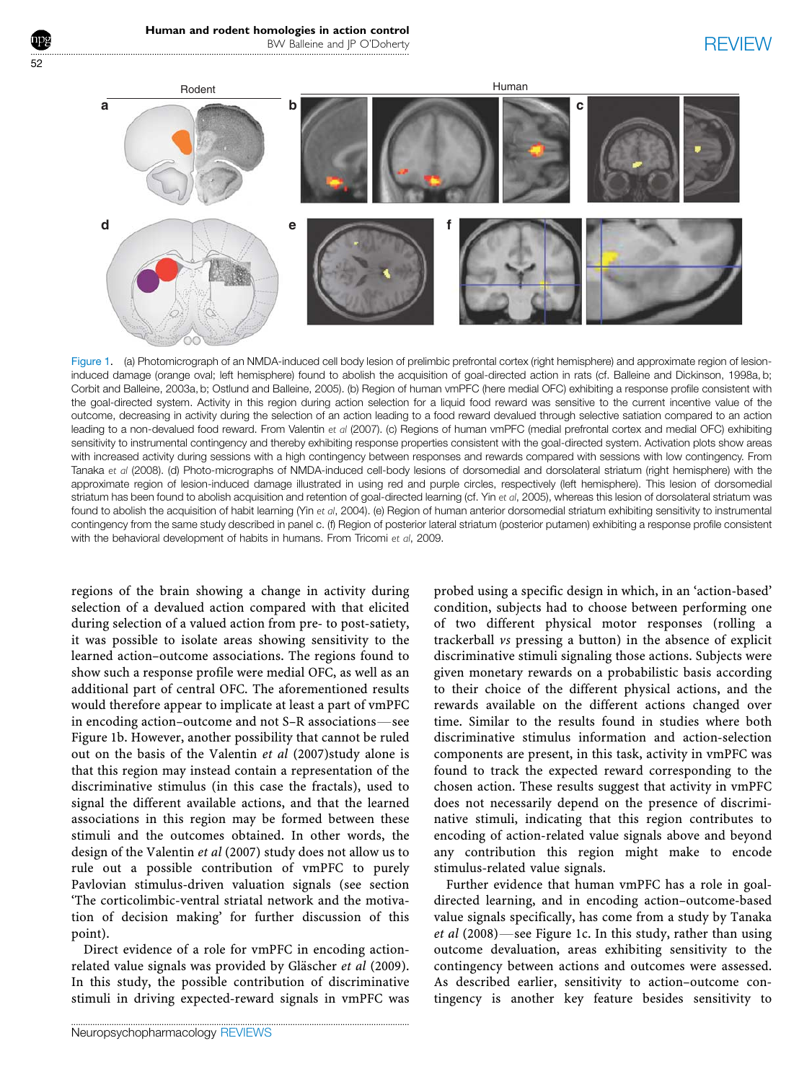<span id="page-4-0"></span>

Figure 1. (a) Photomicrograph of an NMDA-induced cell body lesion of prelimbic prefrontal cortex (right hemisphere) and approximate region of lesioninduced damage (orange oval; left hemisphere) found to abolish the acquisition of goal-directed action in rats (cf. [Balleine and Dickinson, 1998a, b](#page-17-0); [Corbit and Balleine, 2003a, b](#page-18-0); [Ostlund and Balleine, 2005\)](#page-20-0). (b) Region of human vmPFC (here medial OFC) exhibiting a response profile consistent with the goal-directed system. Activity in this region during action selection for a liquid food reward was sensitive to the current incentive value of the outcome, decreasing in activity during the selection of an action leading to a food reward devalued through selective satiation compared to an action leading to a non-devalued food reward. From [Valentin](#page-20-0) et al (2007). (c) Regions of human vmPFC (medial prefrontal cortex and medial OFC) exhibiting sensitivity to instrumental contingency and thereby exhibiting response properties consistent with the goal-directed system. Activation plots show areas with increased activity during sessions with a high contingency between responses and rewards compared with sessions with low contingency. From [Tanaka](#page-20-0) et al (2008). (d) Photo-micrographs of NMDA-induced cell-body lesions of dorsomedial and dorsolateral striatum (right hemisphere) with the approximate region of lesion-induced damage illustrated in using red and purple circles, respectively (left hemisphere). This lesion of dorsomedial striatum has been found to abolish acquisition and retention of goal-directed learning (cf. Yin et al[, 2005\)](#page-21-0), whereas this lesion of dorsolateral striatum was found to abolish the acquisition of habit learning (Yin et al[, 2004\)](#page-21-0). (e) Region of human anterior dorsomedial striatum exhibiting sensitivity to instrumental contingency from the same study described in panel c. (f) Region of posterior lateral striatum (posterior putamen) exhibiting a response profile consistent with the behavioral development of habits in humans. From Tricomi et al, 2009.

regions of the brain showing a change in activity during selection of a devalued action compared with that elicited during selection of a valued action from pre- to post-satiety, it was possible to isolate areas showing sensitivity to the learned action–outcome associations. The regions found to show such a response profile were medial OFC, as well as an additional part of central OFC. The aforementioned results would therefore appear to implicate at least a part of vmPFC in encoding action–outcome and not S–R associations—see Figure 1b. However, another possibility that cannot be ruled out on the basis of the [Valentin](#page-20-0) et al (2007)study alone is that this region may instead contain a representation of the discriminative stimulus (in this case the fractals), used to signal the different available actions, and that the learned associations in this region may be formed between these stimuli and the outcomes obtained. In other words, the design of the [Valentin](#page-20-0) et al (2007) study does not allow us to rule out a possible contribution of vmPFC to purely Pavlovian stimulus-driven valuation signals (see section 'The corticolimbic-ventral striatal network and the motivation of decision making' for further discussion of this point).

Direct evidence of a role for vmPFC in encoding actionrelated value signals was provided by Gläscher et al (2009). In this study, the possible contribution of discriminative stimuli in driving expected-reward signals in vmPFC was probed using a specific design in which, in an 'action-based' condition, subjects had to choose between performing one of two different physical motor responses (rolling a trackerball vs pressing a button) in the absence of explicit discriminative stimuli signaling those actions. Subjects were given monetary rewards on a probabilistic basis according to their choice of the different physical actions, and the rewards available on the different actions changed over time. Similar to the results found in studies where both discriminative stimulus information and action-selection components are present, in this task, activity in vmPFC was found to track the expected reward corresponding to the chosen action. These results suggest that activity in vmPFC does not necessarily depend on the presence of discriminative stimuli, indicating that this region contributes to encoding of action-related value signals above and beyond any contribution this region might make to encode stimulus-related value signals.

Further evidence that human vmPFC has a role in goaldirected learning, and in encoding action–outcome-based value signals specifically, has come from a study by [Tanaka](#page-20-0) et al  $(2008)$ —see Figure 1c. In this study, rather than using outcome devaluation, areas exhibiting sensitivity to the contingency between actions and outcomes were assessed. As described earlier, sensitivity to action–outcome contingency is another key feature besides sensitivity to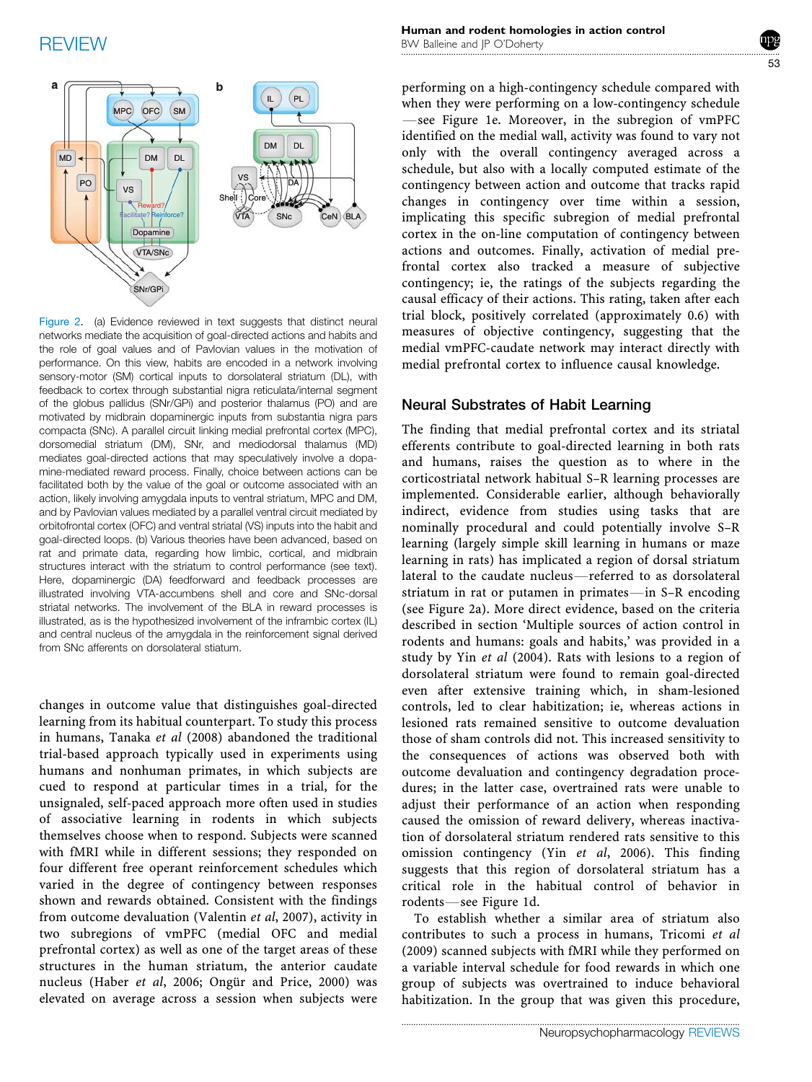<span id="page-5-0"></span>

Figure 2. (a) Evidence reviewed in text suggests that distinct neural networks mediate the acquisition of goal-directed actions and habits and the role of goal values and of Pavlovian values in the motivation of performance. On this view, habits are encoded in a network involving sensory-motor (SM) cortical inputs to dorsolateral striatum (DL), with feedback to cortex through substantial nigra reticulata/internal segment of the globus pallidus (SNr/GPi) and posterior thalamus (PO) and are motivated by midbrain dopaminergic inputs from substantia nigra pars compacta (SNc). A parallel circuit linking medial prefrontal cortex (MPC), dorsomedial striatum (DM), SNr, and mediodorsal thalamus (MD) mediates goal-directed actions that may speculatively involve a dopamine-mediated reward process. Finally, choice between actions can be facilitated both by the value of the goal or outcome associated with an action, likely involving amygdala inputs to ventral striatum, MPC and DM, and by Pavlovian values mediated by a parallel ventral circuit mediated by orbitofrontal cortex (OFC) and ventral striatal (VS) inputs into the habit and goal-directed loops. (b) Various theories have been advanced, based on rat and primate data, regarding how limbic, cortical, and midbrain structures interact with the striatum to control performance (see text). Here, dopaminergic (DA) feedforward and feedback processes are illustrated involving VTA-accumbens shell and core and SNc-dorsal striatal networks. The involvement of the BLA in reward processes is illustrated, as is the hypothesized involvement of the inframbic cortex (IL) and central nucleus of the amygdala in the reinforcement signal derived from SNc afferents on dorsolateral stiatum.

changes in outcome value that distinguishes goal-directed learning from its habitual counterpart. To study this process in humans, [Tanaka](#page-20-0) et al (2008) abandoned the traditional trial-based approach typically used in experiments using humans and nonhuman primates, in which subjects are cued to respond at particular times in a trial, for the unsignaled, self-paced approach more often used in studies of associative learning in rodents in which subjects themselves choose when to respond. Subjects were scanned with fMRI while in different sessions; they responded on four different free operant reinforcement schedules which varied in the degree of contingency between responses shown and rewards obtained. Consistent with the findings from outcome devaluation ([Valentin](#page-20-0) et al, 2007), activity in two subregions of vmPFC (medial OFC and medial prefrontal cortex) as well as one of the target areas of these structures in the human striatum, the anterior caudate nucleus (Haber et al[, 2006](#page-18-0); Ongür and Price, 2000) was elevated on average across a session when subjects were performing on a high-contingency schedule compared with when they were performing on a low-contingency schedule -see [Figure 1e](#page-4-0). Moreover, in the subregion of vmPFC identified on the medial wall, activity was found to vary not only with the overall contingency averaged across a schedule, but also with a locally computed estimate of the contingency between action and outcome that tracks rapid changes in contingency over time within a session, implicating this specific subregion of medial prefrontal cortex in the on-line computation of contingency between actions and outcomes. Finally, activation of medial prefrontal cortex also tracked a measure of subjective contingency; ie, the ratings of the subjects regarding the causal efficacy of their actions. This rating, taken after each trial block, positively correlated (approximately 0.6) with measures of objective contingency, suggesting that the medial vmPFC-caudate network may interact directly with medial prefrontal cortex to influence causal knowledge.

53

### Neural Substrates of Habit Learning

The finding that medial prefrontal cortex and its striatal efferents contribute to goal-directed learning in both rats and humans, raises the question as to where in the corticostriatal network habitual S–R learning processes are implemented. Considerable earlier, although behaviorally indirect, evidence from studies using tasks that are nominally procedural and could potentially involve S–R learning (largely simple skill learning in humans or maze learning in rats) has implicated a region of dorsal striatum lateral to the caudate nucleus-referred to as dorsolateral striatum in rat or putamen in primates—in  $S-R$  encoding (see Figure 2a). More direct evidence, based on the criteria described in section 'Multiple sources of action control in rodents and humans: goals and habits,' was provided in a study by Yin et al [\(2004\)](#page-21-0). Rats with lesions to a region of dorsolateral striatum were found to remain goal-directed even after extensive training which, in sham-lesioned controls, led to clear habitization; ie, whereas actions in lesioned rats remained sensitive to outcome devaluation those of sham controls did not. This increased sensitivity to the consequences of actions was observed both with outcome devaluation and contingency degradation procedures; in the latter case, overtrained rats were unable to adjust their performance of an action when responding caused the omission of reward delivery, whereas inactivation of dorsolateral striatum rendered rats sensitive to this omission contingency (Yin et al[, 2006](#page-21-0)). This finding suggests that this region of dorsolateral striatum has a critical role in the habitual control of behavior in rodents-see [Figure 1d.](#page-4-0)

To establish whether a similar area of striatum also contributes to such a process in humans, Tricomi et al (2009) scanned subjects with fMRI while they performed on a variable interval schedule for food rewards in which one group of subjects was overtrained to induce behavioral habitization. In the group that was given this procedure,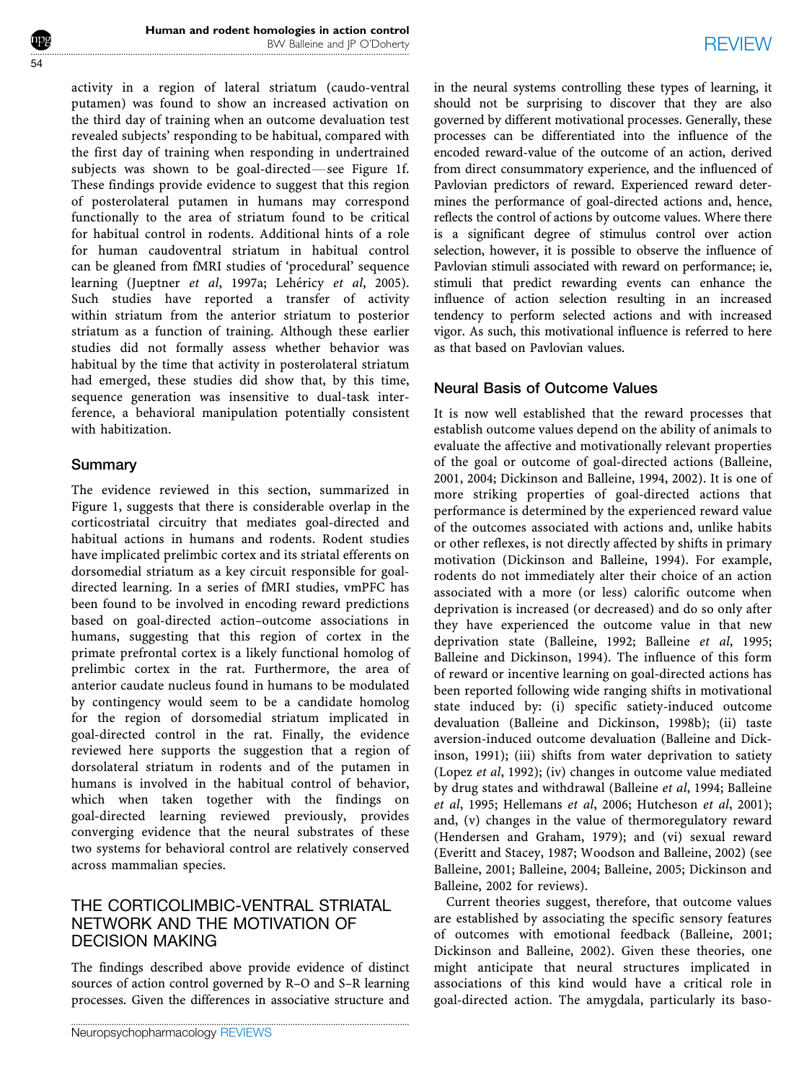activity in a region of lateral striatum (caudo-ventral putamen) was found to show an increased activation on the third day of training when an outcome devaluation test revealed subjects' responding to be habitual, compared with the first day of training when responding in undertrained subjects was shown to be goal-directed-see [Figure 1f.](#page-4-0) These findings provide evidence to suggest that this region of posterolateral putamen in humans may correspond functionally to the area of striatum found to be critical for habitual control in rodents. Additional hints of a role for human caudoventral striatum in habitual control can be gleaned from fMRI studies of 'procedural' sequence learning ([Jueptner](#page-19-0) et al, 1997a; Lehéricy et al, 2005). Such studies have reported a transfer of activity within striatum from the anterior striatum to posterior striatum as a function of training. Although these earlier studies did not formally assess whether behavior was habitual by the time that activity in posterolateral striatum had emerged, these studies did show that, by this time, sequence generation was insensitive to dual-task interference, a behavioral manipulation potentially consistent with habitization.

### Summary

The evidence reviewed in this section, summarized in [Figure 1](#page-4-0), suggests that there is considerable overlap in the corticostriatal circuitry that mediates goal-directed and habitual actions in humans and rodents. Rodent studies have implicated prelimbic cortex and its striatal efferents on dorsomedial striatum as a key circuit responsible for goaldirected learning. In a series of fMRI studies, vmPFC has been found to be involved in encoding reward predictions based on goal-directed action–outcome associations in humans, suggesting that this region of cortex in the primate prefrontal cortex is a likely functional homolog of prelimbic cortex in the rat. Furthermore, the area of anterior caudate nucleus found in humans to be modulated by contingency would seem to be a candidate homolog for the region of dorsomedial striatum implicated in goal-directed control in the rat. Finally, the evidence reviewed here supports the suggestion that a region of dorsolateral striatum in rodents and of the putamen in humans is involved in the habitual control of behavior, which when taken together with the findings on goal-directed learning reviewed previously, provides converging evidence that the neural substrates of these two systems for behavioral control are relatively conserved across mammalian species.

### THE CORTICOLIMBIC-VENTRAL STRIATAL NETWORK AND THE MOTIVATION OF DECISION MAKING

The findings described above provide evidence of distinct sources of action control governed by R–O and S–R learning processes. Given the differences in associative structure and in the neural systems controlling these types of learning, it should not be surprising to discover that they are also governed by different motivational processes. Generally, these processes can be differentiated into the influence of the encoded reward-value of the outcome of an action, derived from direct consummatory experience, and the influenced of Pavlovian predictors of reward. Experienced reward determines the performance of goal-directed actions and, hence, reflects the control of actions by outcome values. Where there is a significant degree of stimulus control over action selection, however, it is possible to observe the influence of Pavlovian stimuli associated with reward on performance; ie, stimuli that predict rewarding events can enhance the influence of action selection resulting in an increased tendency to perform selected actions and with increased vigor. As such, this motivational influence is referred to here as that based on Pavlovian values.

### Neural Basis of Outcome Values

It is now well established that the reward processes that establish outcome values depend on the ability of animals to evaluate the affective and motivationally relevant properties of the goal or outcome of goal-directed actions [\(Balleine,](#page-17-0) [2001, 2004;](#page-17-0) [Dickinson and Balleine, 1994, 2002](#page-18-0)). It is one of more striking properties of goal-directed actions that performance is determined by the experienced reward value of the outcomes associated with actions and, unlike habits or other reflexes, is not directly affected by shifts in primary motivation [\(Dickinson and Balleine, 1994](#page-18-0)). For example, rodents do not immediately alter their choice of an action associated with a more (or less) calorific outcome when deprivation is increased (or decreased) and do so only after they have experienced the outcome value in that new deprivation state ([Balleine, 1992](#page-17-0); [Balleine](#page-17-0) et al, 1995; [Balleine and Dickinson, 1994\)](#page-17-0). The influence of this form of reward or incentive learning on goal-directed actions has been reported following wide ranging shifts in motivational state induced by: (i) specific satiety-induced outcome devaluation [\(Balleine and Dickinson, 1998b\)](#page-17-0); (ii) taste aversion-induced outcome devaluation [\(Balleine and Dick](#page-17-0)[inson, 1991](#page-17-0)); (iii) shifts from water deprivation to satiety ([Lopez](#page-19-0) et al, 1992); (iv) changes in outcome value mediated by drug states and withdrawal [\(Balleine](#page-17-0) et al, 1994; [Balleine](#page-17-0) et al[, 1995;](#page-17-0) [Hellemans](#page-19-0) et al, 2006; [Hutcheson](#page-19-0) et al, 2001); and, (v) changes in the value of thermoregulatory reward ([Hendersen and Graham, 1979](#page-19-0)); and (vi) sexual reward ([Everitt and Stacey, 1987;](#page-18-0) [Woodson and Balleine, 2002\)](#page-21-0) (see [Balleine, 2001](#page-17-0); [Balleine, 2004; Balleine, 2005](#page-17-0); [Dickinson and](#page-18-0) [Balleine, 2002](#page-18-0) for reviews).

Current theories suggest, therefore, that outcome values are established by associating the specific sensory features of outcomes with emotional feedback ([Balleine, 2001](#page-17-0); [Dickinson and Balleine, 2002\)](#page-18-0). Given these theories, one might anticipate that neural structures implicated in associations of this kind would have a critical role in goal-directed action. The amygdala, particularly its baso-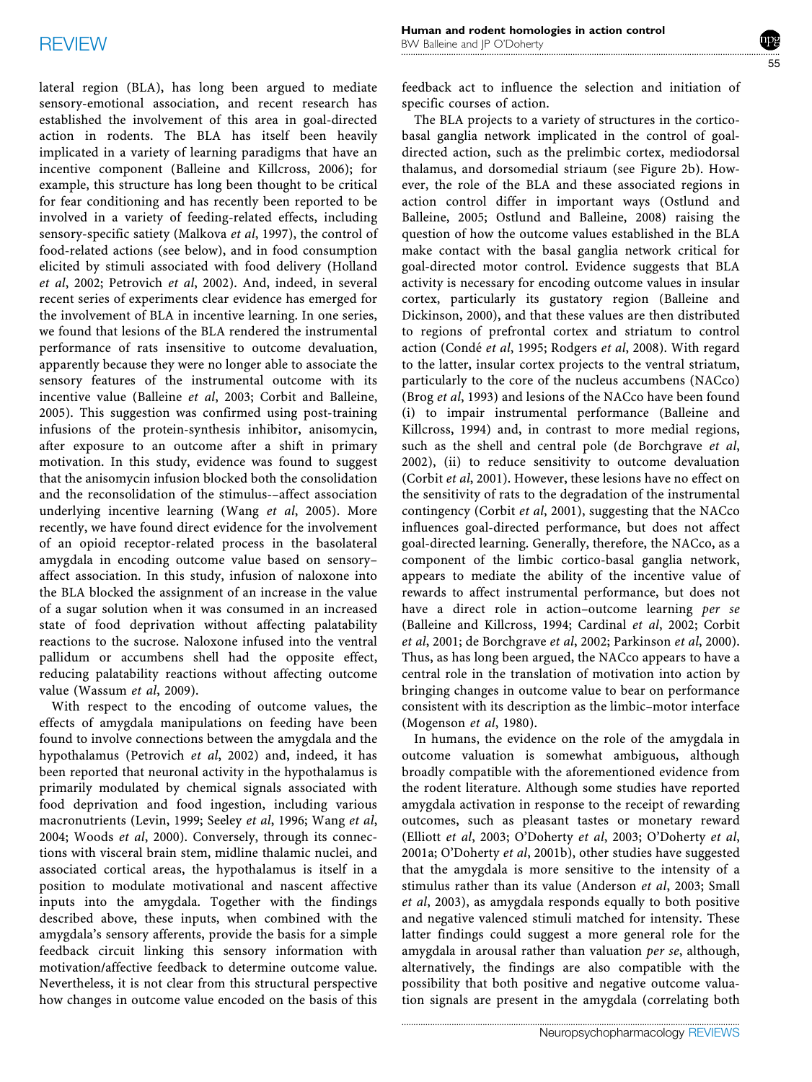lateral region (BLA), has long been argued to mediate sensory-emotional association, and recent research has established the involvement of this area in goal-directed action in rodents. The BLA has itself been heavily implicated in a variety of learning paradigms that have an incentive component [\(Balleine and Killcross, 2006\)](#page-17-0); for example, this structure has long been thought to be critical for fear conditioning and has recently been reported to be involved in a variety of feeding-related effects, including sensory-specific satiety ([Malkova](#page-19-0) et al, 1997), the control of food-related actions (see below), and in food consumption elicited by stimuli associated with food delivery ([Holland](#page-19-0) et al[, 2002;](#page-19-0) [Petrovich](#page-20-0) et al, 2002). And, indeed, in several recent series of experiments clear evidence has emerged for the involvement of BLA in incentive learning. In one series, we found that lesions of the BLA rendered the instrumental performance of rats insensitive to outcome devaluation, apparently because they were no longer able to associate the sensory features of the instrumental outcome with its incentive value ([Balleine](#page-17-0) et al, 2003; [Corbit and Balleine,](#page-18-0) [2005\)](#page-18-0). This suggestion was confirmed using post-training infusions of the protein-synthesis inhibitor, anisomycin, after exposure to an outcome after a shift in primary motivation. In this study, evidence was found to suggest that the anisomycin infusion blocked both the consolidation and the reconsolidation of the stimulus-–affect association underlying incentive learning (Wang et al[, 2005](#page-20-0)). More recently, we have found direct evidence for the involvement of an opioid receptor-related process in the basolateral amygdala in encoding outcome value based on sensory– affect association. In this study, infusion of naloxone into the BLA blocked the assignment of an increase in the value of a sugar solution when it was consumed in an increased state of food deprivation without affecting palatability reactions to the sucrose. Naloxone infused into the ventral pallidum or accumbens shell had the opposite effect, reducing palatability reactions without affecting outcome value [\(Wassum](#page-20-0) et al, 2009).

With respect to the encoding of outcome values, the effects of amygdala manipulations on feeding have been found to involve connections between the amygdala and the hypothalamus ([Petrovich](#page-20-0) et al, 2002) and, indeed, it has been reported that neuronal activity in the hypothalamus is primarily modulated by chemical signals associated with food deprivation and food ingestion, including various macronutrients [\(Levin, 1999;](#page-19-0) [Seeley](#page-20-0) et al, 1996; [Wang](#page-20-0) et al, [2004;](#page-20-0) [Woods](#page-21-0) et al, 2000). Conversely, through its connections with visceral brain stem, midline thalamic nuclei, and associated cortical areas, the hypothalamus is itself in a position to modulate motivational and nascent affective inputs into the amygdala. Together with the findings described above, these inputs, when combined with the amygdala's sensory afferents, provide the basis for a simple feedback circuit linking this sensory information with motivation/affective feedback to determine outcome value. Nevertheless, it is not clear from this structural perspective how changes in outcome value encoded on the basis of this feedback act to influence the selection and initiation of specific courses of action.

The BLA projects to a variety of structures in the corticobasal ganglia network implicated in the control of goaldirected action, such as the prelimbic cortex, mediodorsal thalamus, and dorsomedial striaum (see [Figure 2b](#page-5-0)). However, the role of the BLA and these associated regions in action control differ in important ways ([Ostlund and](#page-20-0) [Balleine, 2005](#page-20-0); [Ostlund and Balleine, 2008](#page-20-0)) raising the question of how the outcome values established in the BLA make contact with the basal ganglia network critical for goal-directed motor control. Evidence suggests that BLA activity is necessary for encoding outcome values in insular cortex, particularly its gustatory region [\(Balleine and](#page-17-0) [Dickinson, 2000\)](#page-17-0), and that these values are then distributed to regions of prefrontal cortex and striatum to control action (Condé et al, 1995; [Rodgers](#page-20-0) et al, 2008). With regard to the latter, insular cortex projects to the ventral striatum, particularly to the core of the nucleus accumbens (NACco) (Brog et al[, 1993](#page-18-0)) and lesions of the NACco have been found (i) to impair instrumental performance [\(Balleine and](#page-17-0) [Killcross, 1994\)](#page-17-0) and, in contrast to more medial regions, such as the shell and central pole ([de Borchgrave](#page-18-0) et al, [2002\)](#page-18-0), (ii) to reduce sensitivity to outcome devaluation [\(Corbit](#page-18-0) et al, 2001). However, these lesions have no effect on the sensitivity of rats to the degradation of the instrumental contingency ([Corbit](#page-18-0) et al, 2001), suggesting that the NACco influences goal-directed performance, but does not affect goal-directed learning. Generally, therefore, the NACco, as a component of the limbic cortico-basal ganglia network, appears to mediate the ability of the incentive value of rewards to affect instrumental performance, but does not have a direct role in action–outcome learning per se [\(Balleine and Killcross, 1994](#page-17-0); [Cardinal](#page-18-0) et al, 2002; [Corbit](#page-18-0) et al[, 2001; de Borchgrave](#page-18-0) et al, 2002; [Parkinson](#page-20-0) et al, 2000). Thus, as has long been argued, the NACco appears to have a central role in the translation of motivation into action by bringing changes in outcome value to bear on performance consistent with its description as the limbic–motor interface [\(Mogenson](#page-19-0) et al, 1980).

In humans, the evidence on the role of the amygdala in outcome valuation is somewhat ambiguous, although broadly compatible with the aforementioned evidence from the rodent literature. Although some studies have reported amygdala activation in response to the receipt of rewarding outcomes, such as pleasant tastes or monetary reward (Elliott et al[, 2003;](#page-18-0) [O'Doherty](#page-19-0) et al, 2003; [O'Doherty](#page-19-0) et al, [2001a; O'Doherty](#page-19-0) et al, 2001b), other studies have suggested that the amygdala is more sensitive to the intensity of a stimulus rather than its value ([Anderson](#page-17-0) et al, 2003; [Small](#page-20-0) et al[, 2003](#page-20-0)), as amygdala responds equally to both positive and negative valenced stimuli matched for intensity. These latter findings could suggest a more general role for the amygdala in arousal rather than valuation per se, although, alternatively, the findings are also compatible with the possibility that both positive and negative outcome valuation signals are present in the amygdala (correlating both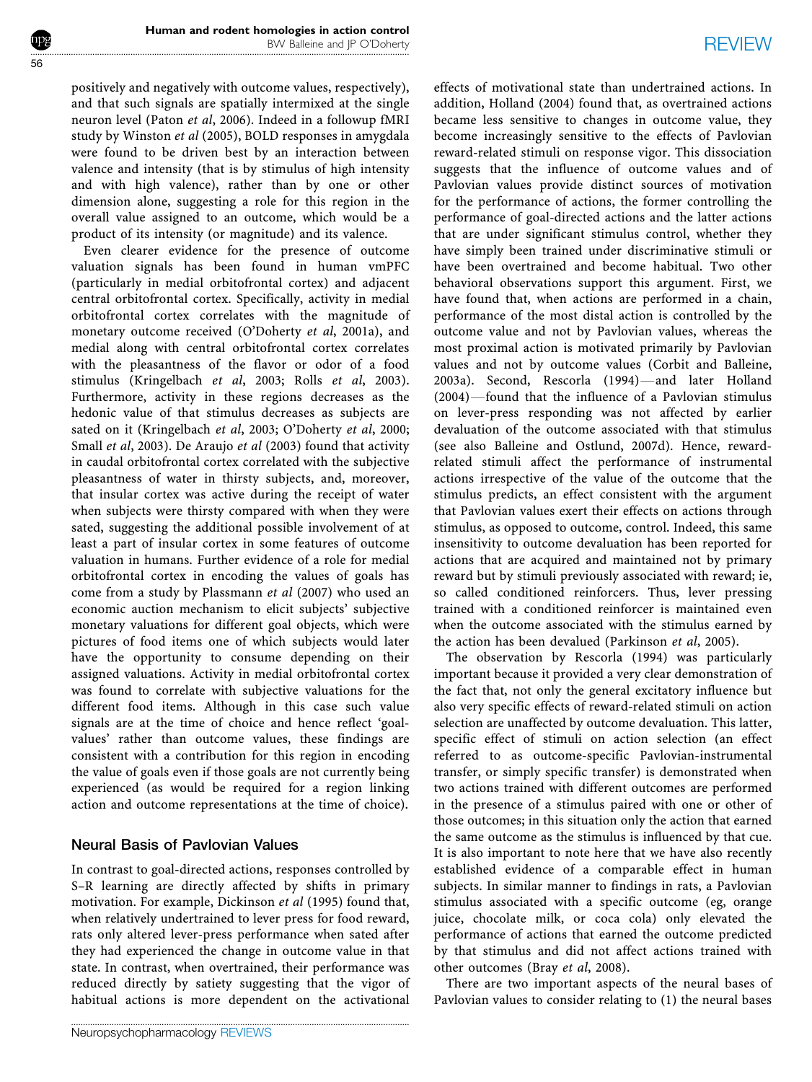positively and negatively with outcome values, respectively), and that such signals are spatially intermixed at the single neuron level (Paton et al[, 2006](#page-20-0)). Indeed in a followup fMRI study by [Winston](#page-20-0) et al (2005), BOLD responses in amygdala were found to be driven best by an interaction between valence and intensity (that is by stimulus of high intensity and with high valence), rather than by one or other dimension alone, suggesting a role for this region in the overall value assigned to an outcome, which would be a product of its intensity (or magnitude) and its valence.

Even clearer evidence for the presence of outcome valuation signals has been found in human vmPFC (particularly in medial orbitofrontal cortex) and adjacent central orbitofrontal cortex. Specifically, activity in medial orbitofrontal cortex correlates with the magnitude of monetary outcome received [\(O'Doherty](#page-19-0) et al, 2001a), and medial along with central orbitofrontal cortex correlates with the pleasantness of the flavor or odor of a food stimulus [\(Kringelbach](#page-19-0) et al, 2003; Rolls et al[, 2003](#page-20-0)). Furthermore, activity in these regions decreases as the hedonic value of that stimulus decreases as subjects are sated on it [\(Kringelbach](#page-19-0) et al, 2003; [O'Doherty](#page-19-0) et al, 2000; Small et al[, 2003](#page-20-0)). [De Araujo](#page-18-0) et al (2003) found that activity in caudal orbitofrontal cortex correlated with the subjective pleasantness of water in thirsty subjects, and, moreover, that insular cortex was active during the receipt of water when subjects were thirsty compared with when they were sated, suggesting the additional possible involvement of at least a part of insular cortex in some features of outcome valuation in humans. Further evidence of a role for medial orbitofrontal cortex in encoding the values of goals has come from a study by [Plassmann](#page-20-0) et al (2007) who used an economic auction mechanism to elicit subjects' subjective monetary valuations for different goal objects, which were pictures of food items one of which subjects would later have the opportunity to consume depending on their assigned valuations. Activity in medial orbitofrontal cortex was found to correlate with subjective valuations for the different food items. Although in this case such value signals are at the time of choice and hence reflect 'goalvalues' rather than outcome values, these findings are consistent with a contribution for this region in encoding the value of goals even if those goals are not currently being experienced (as would be required for a region linking action and outcome representations at the time of choice).

### Neural Basis of Pavlovian Values

In contrast to goal-directed actions, responses controlled by S–R learning are directly affected by shifts in primary motivation. For example, [Dickinson](#page-18-0) et al (1995) found that, when relatively undertrained to lever press for food reward, rats only altered lever-press performance when sated after they had experienced the change in outcome value in that state. In contrast, when overtrained, their performance was reduced directly by satiety suggesting that the vigor of habitual actions is more dependent on the activational effects of motivational state than undertrained actions. In addition, [Holland \(2004\)](#page-19-0) found that, as overtrained actions became less sensitive to changes in outcome value, they become increasingly sensitive to the effects of Pavlovian reward-related stimuli on response vigor. This dissociation suggests that the influence of outcome values and of Pavlovian values provide distinct sources of motivation for the performance of actions, the former controlling the performance of goal-directed actions and the latter actions that are under significant stimulus control, whether they have simply been trained under discriminative stimuli or have been overtrained and become habitual. Two other behavioral observations support this argument. First, we have found that, when actions are performed in a chain, performance of the most distal action is controlled by the outcome value and not by Pavlovian values, whereas the most proximal action is motivated primarily by Pavlovian values and not by outcome values [\(Corbit and Balleine,](#page-18-0) [2003a](#page-18-0)). Second, [Rescorla \(1994\)](#page-20-0)—and later [Holland](#page-19-0)  $(2004)$ —found that the influence of a Pavlovian stimulus on lever-press responding was not affected by earlier devaluation of the outcome associated with that stimulus (see also [Balleine and Ostlund, 2007d\)](#page-17-0). Hence, rewardrelated stimuli affect the performance of instrumental actions irrespective of the value of the outcome that the stimulus predicts, an effect consistent with the argument that Pavlovian values exert their effects on actions through stimulus, as opposed to outcome, control. Indeed, this same insensitivity to outcome devaluation has been reported for actions that are acquired and maintained not by primary reward but by stimuli previously associated with reward; ie, so called conditioned reinforcers. Thus, lever pressing trained with a conditioned reinforcer is maintained even when the outcome associated with the stimulus earned by the action has been devalued [\(Parkinson](#page-20-0) et al, 2005).

The observation by [Rescorla \(1994\)](#page-20-0) was particularly important because it provided a very clear demonstration of the fact that, not only the general excitatory influence but also very specific effects of reward-related stimuli on action selection are unaffected by outcome devaluation. This latter, specific effect of stimuli on action selection (an effect referred to as outcome-specific Pavlovian-instrumental transfer, or simply specific transfer) is demonstrated when two actions trained with different outcomes are performed in the presence of a stimulus paired with one or other of those outcomes; in this situation only the action that earned the same outcome as the stimulus is influenced by that cue. It is also important to note here that we have also recently established evidence of a comparable effect in human subjects. In similar manner to findings in rats, a Pavlovian stimulus associated with a specific outcome (eg, orange juice, chocolate milk, or coca cola) only elevated the performance of actions that earned the outcome predicted by that stimulus and did not affect actions trained with other outcomes (Bray et al[, 2008](#page-18-0)).

There are two important aspects of the neural bases of Pavlovian values to consider relating to (1) the neural bases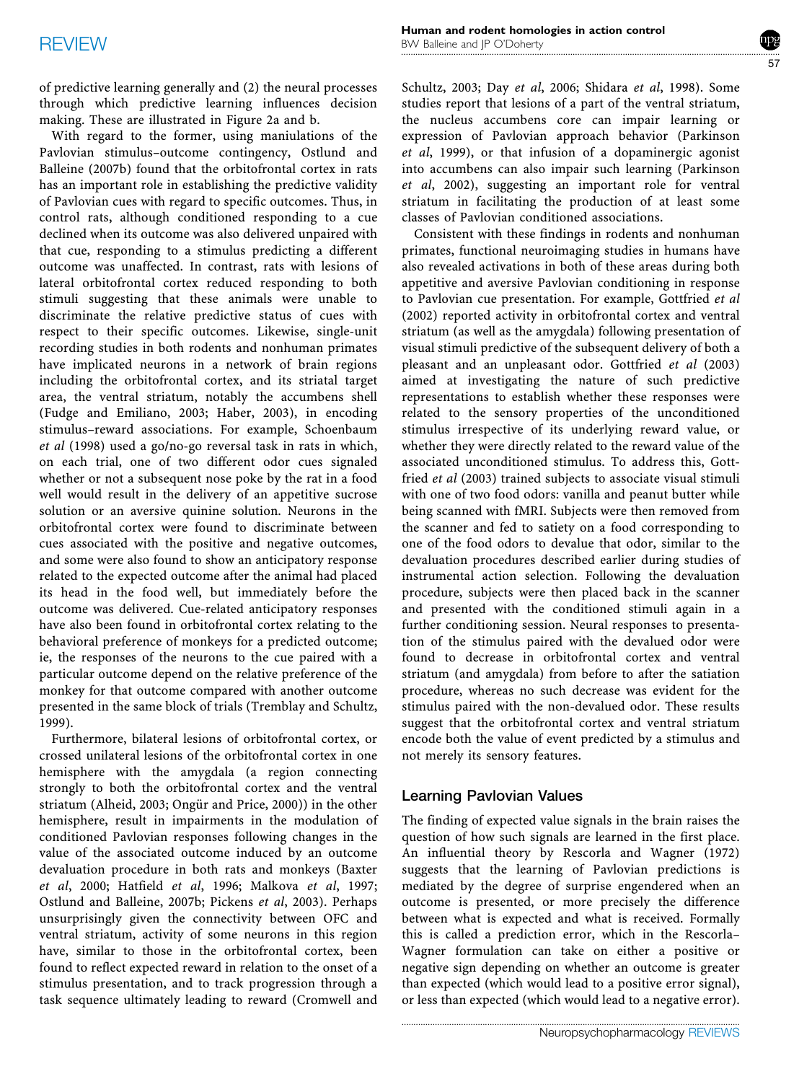of predictive learning generally and (2) the neural processes through which predictive learning influences decision making. These are illustrated in [Figure 2a and b](#page-5-0).

With regard to the former, using maniulations of the Pavlovian stimulus–outcome contingency, [Ostlund and](#page-20-0) [Balleine \(2007b\)](#page-20-0) found that the orbitofrontal cortex in rats has an important role in establishing the predictive validity of Pavlovian cues with regard to specific outcomes. Thus, in control rats, although conditioned responding to a cue declined when its outcome was also delivered unpaired with that cue, responding to a stimulus predicting a different outcome was unaffected. In contrast, rats with lesions of lateral orbitofrontal cortex reduced responding to both stimuli suggesting that these animals were unable to discriminate the relative predictive status of cues with respect to their specific outcomes. Likewise, single-unit recording studies in both rodents and nonhuman primates have implicated neurons in a network of brain regions including the orbitofrontal cortex, and its striatal target area, the ventral striatum, notably the accumbens shell [\(Fudge and Emiliano, 2003](#page-18-0); [Haber, 2003](#page-18-0)), in encoding stimulus–reward associations. For example, [Schoenbaum](#page-20-0) et al [\(1998\)](#page-20-0) used a go/no-go reversal task in rats in which, on each trial, one of two different odor cues signaled whether or not a subsequent nose poke by the rat in a food well would result in the delivery of an appetitive sucrose solution or an aversive quinine solution. Neurons in the orbitofrontal cortex were found to discriminate between cues associated with the positive and negative outcomes, and some were also found to show an anticipatory response related to the expected outcome after the animal had placed its head in the food well, but immediately before the outcome was delivered. Cue-related anticipatory responses have also been found in orbitofrontal cortex relating to the behavioral preference of monkeys for a predicted outcome; ie, the responses of the neurons to the cue paired with a particular outcome depend on the relative preference of the monkey for that outcome compared with another outcome presented in the same block of trials [\(Tremblay and Schultz,](#page-20-0) [1999\)](#page-20-0).

Furthermore, bilateral lesions of orbitofrontal cortex, or crossed unilateral lesions of the orbitofrontal cortex in one hemisphere with the amygdala (a region connecting strongly to both the orbitofrontal cortex and the ventral striatum [\(Alheid, 2003](#page-17-0); Ongür and Price, 2000)) in the other hemisphere, result in impairments in the modulation of conditioned Pavlovian responses following changes in the value of the associated outcome induced by an outcome devaluation procedure in both rats and monkeys [\(Baxter](#page-17-0) et al[, 2000;](#page-17-0) [Hatfield](#page-19-0) et al, 1996; [Malkova](#page-19-0) et al, 1997; [Ostlund and Balleine, 2007b; Pickens](#page-20-0) et al, 2003). Perhaps unsurprisingly given the connectivity between OFC and ventral striatum, activity of some neurons in this region have, similar to those in the orbitofrontal cortex, been found to reflect expected reward in relation to the onset of a stimulus presentation, and to track progression through a task sequence ultimately leading to reward ([Cromwell and](#page-18-0) [Schultz, 2003;](#page-18-0) Day et al[, 2006;](#page-18-0) [Shidara](#page-20-0) et al, 1998). Some studies report that lesions of a part of the ventral striatum, the nucleus accumbens core can impair learning or expression of Pavlovian approach behavior ([Parkinson](#page-20-0) et al[, 1999\)](#page-20-0), or that infusion of a dopaminergic agonist into accumbens can also impair such learning ([Parkinson](#page-20-0) et al[, 2002\)](#page-20-0), suggesting an important role for ventral striatum in facilitating the production of at least some classes of Pavlovian conditioned associations.

57

Consistent with these findings in rodents and nonhuman primates, functional neuroimaging studies in humans have also revealed activations in both of these areas during both appetitive and aversive Pavlovian conditioning in response to Pavlovian cue presentation. For example, [Gottfried](#page-18-0) et al [\(2002\)](#page-18-0) reported activity in orbitofrontal cortex and ventral striatum (as well as the amygdala) following presentation of visual stimuli predictive of the subsequent delivery of both a pleasant and an unpleasant odor. [Gottfried](#page-18-0) et al (2003) aimed at investigating the nature of such predictive representations to establish whether these responses were related to the sensory properties of the unconditioned stimulus irrespective of its underlying reward value, or whether they were directly related to the reward value of the associated unconditioned stimulus. To address this, [Gott](#page-18-0)fried et al [\(2003\)](#page-18-0) trained subjects to associate visual stimuli with one of two food odors: vanilla and peanut butter while being scanned with fMRI. Subjects were then removed from the scanner and fed to satiety on a food corresponding to one of the food odors to devalue that odor, similar to the devaluation procedures described earlier during studies of instrumental action selection. Following the devaluation procedure, subjects were then placed back in the scanner and presented with the conditioned stimuli again in a further conditioning session. Neural responses to presentation of the stimulus paired with the devalued odor were found to decrease in orbitofrontal cortex and ventral striatum (and amygdala) from before to after the satiation procedure, whereas no such decrease was evident for the stimulus paired with the non-devalued odor. These results suggest that the orbitofrontal cortex and ventral striatum encode both the value of event predicted by a stimulus and not merely its sensory features.

### Learning Pavlovian Values

The finding of expected value signals in the brain raises the question of how such signals are learned in the first place. An influential theory by [Rescorla and Wagner \(1972](#page-20-0)) suggests that the learning of Pavlovian predictions is mediated by the degree of surprise engendered when an outcome is presented, or more precisely the difference between what is expected and what is received. Formally this is called a prediction error, which in the Rescorla– Wagner formulation can take on either a positive or negative sign depending on whether an outcome is greater than expected (which would lead to a positive error signal), or less than expected (which would lead to a negative error).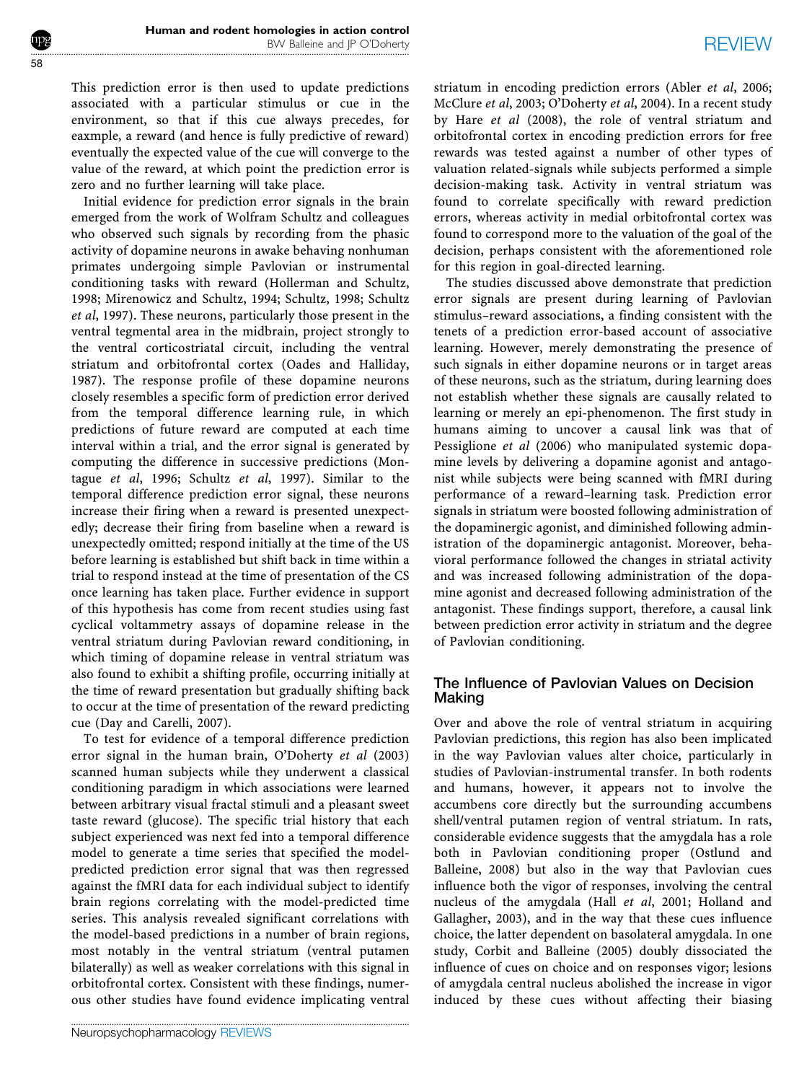This prediction error is then used to update predictions associated with a particular stimulus or cue in the environment, so that if this cue always precedes, for eaxmple, a reward (and hence is fully predictive of reward) eventually the expected value of the cue will converge to the value of the reward, at which point the prediction error is zero and no further learning will take place.

Initial evidence for prediction error signals in the brain emerged from the work of Wolfram Schultz and colleagues who observed such signals by recording from the phasic activity of dopamine neurons in awake behaving nonhuman primates undergoing simple Pavlovian or instrumental conditioning tasks with reward ([Hollerman and Schultz,](#page-19-0) [1998](#page-19-0); [Mirenowicz and Schultz, 1994](#page-19-0); [Schultz, 1998](#page-20-0); [Schultz](#page-20-0) et al[, 1997](#page-20-0)). These neurons, particularly those present in the ventral tegmental area in the midbrain, project strongly to the ventral corticostriatal circuit, including the ventral striatum and orbitofrontal cortex [\(Oades and Halliday,](#page-20-0) [1987](#page-20-0)). The response profile of these dopamine neurons closely resembles a specific form of prediction error derived from the temporal difference learning rule, in which predictions of future reward are computed at each time interval within a trial, and the error signal is generated by computing the difference in successive predictions ([Mon](#page-19-0)tague et al[, 1996](#page-19-0); [Schultz](#page-20-0) et al, 1997). Similar to the temporal difference prediction error signal, these neurons increase their firing when a reward is presented unexpectedly; decrease their firing from baseline when a reward is unexpectedly omitted; respond initially at the time of the US before learning is established but shift back in time within a trial to respond instead at the time of presentation of the CS once learning has taken place. Further evidence in support of this hypothesis has come from recent studies using fast cyclical voltammetry assays of dopamine release in the ventral striatum during Pavlovian reward conditioning, in which timing of dopamine release in ventral striatum was also found to exhibit a shifting profile, occurring initially at the time of reward presentation but gradually shifting back to occur at the time of presentation of the reward predicting cue [\(Day and Carelli, 2007\)](#page-18-0).

To test for evidence of a temporal difference prediction error signal in the human brain, [O'Doherty](#page-19-0) et al (2003) scanned human subjects while they underwent a classical conditioning paradigm in which associations were learned between arbitrary visual fractal stimuli and a pleasant sweet taste reward (glucose). The specific trial history that each subject experienced was next fed into a temporal difference model to generate a time series that specified the modelpredicted prediction error signal that was then regressed against the fMRI data for each individual subject to identify brain regions correlating with the model-predicted time series. This analysis revealed significant correlations with the model-based predictions in a number of brain regions, most notably in the ventral striatum (ventral putamen bilaterally) as well as weaker correlations with this signal in orbitofrontal cortex. Consistent with these findings, numerous other studies have found evidence implicating ventral

striatum in encoding prediction errors (Abler et al[, 2006](#page-17-0); [McClure](#page-19-0) et al, 2003; [O'Doherty](#page-19-0) et al, 2004). In a recent study by Hare et al [\(2008\),](#page-19-0) the role of ventral striatum and orbitofrontal cortex in encoding prediction errors for free rewards was tested against a number of other types of valuation related-signals while subjects performed a simple decision-making task. Activity in ventral striatum was found to correlate specifically with reward prediction errors, whereas activity in medial orbitofrontal cortex was found to correspond more to the valuation of the goal of the decision, perhaps consistent with the aforementioned role for this region in goal-directed learning.

The studies discussed above demonstrate that prediction error signals are present during learning of Pavlovian stimulus–reward associations, a finding consistent with the tenets of a prediction error-based account of associative learning. However, merely demonstrating the presence of such signals in either dopamine neurons or in target areas of these neurons, such as the striatum, during learning does not establish whether these signals are causally related to learning or merely an epi-phenomenon. The first study in humans aiming to uncover a causal link was that of [Pessiglione](#page-20-0) et al (2006) who manipulated systemic dopamine levels by delivering a dopamine agonist and antagonist while subjects were being scanned with fMRI during performance of a reward–learning task. Prediction error signals in striatum were boosted following administration of the dopaminergic agonist, and diminished following administration of the dopaminergic antagonist. Moreover, behavioral performance followed the changes in striatal activity and was increased following administration of the dopamine agonist and decreased following administration of the antagonist. These findings support, therefore, a causal link between prediction error activity in striatum and the degree of Pavlovian conditioning.

### The Influence of Pavlovian Values on Decision Making

Over and above the role of ventral striatum in acquiring Pavlovian predictions, this region has also been implicated in the way Pavlovian values alter choice, particularly in studies of Pavlovian-instrumental transfer. In both rodents and humans, however, it appears not to involve the accumbens core directly but the surrounding accumbens shell/ventral putamen region of ventral striatum. In rats, considerable evidence suggests that the amygdala has a role both in Pavlovian conditioning proper [\(Ostlund and](#page-20-0) [Balleine, 2008\)](#page-20-0) but also in the way that Pavlovian cues influence both the vigor of responses, involving the central nucleus of the amygdala (Hall et al[, 2001;](#page-18-0) [Holland and](#page-19-0) [Gallagher, 2003](#page-19-0)), and in the way that these cues influence choice, the latter dependent on basolateral amygdala. In one study, [Corbit and Balleine \(2005\)](#page-18-0) doubly dissociated the influence of cues on choice and on responses vigor; lesions of amygdala central nucleus abolished the increase in vigor induced by these cues without affecting their biasing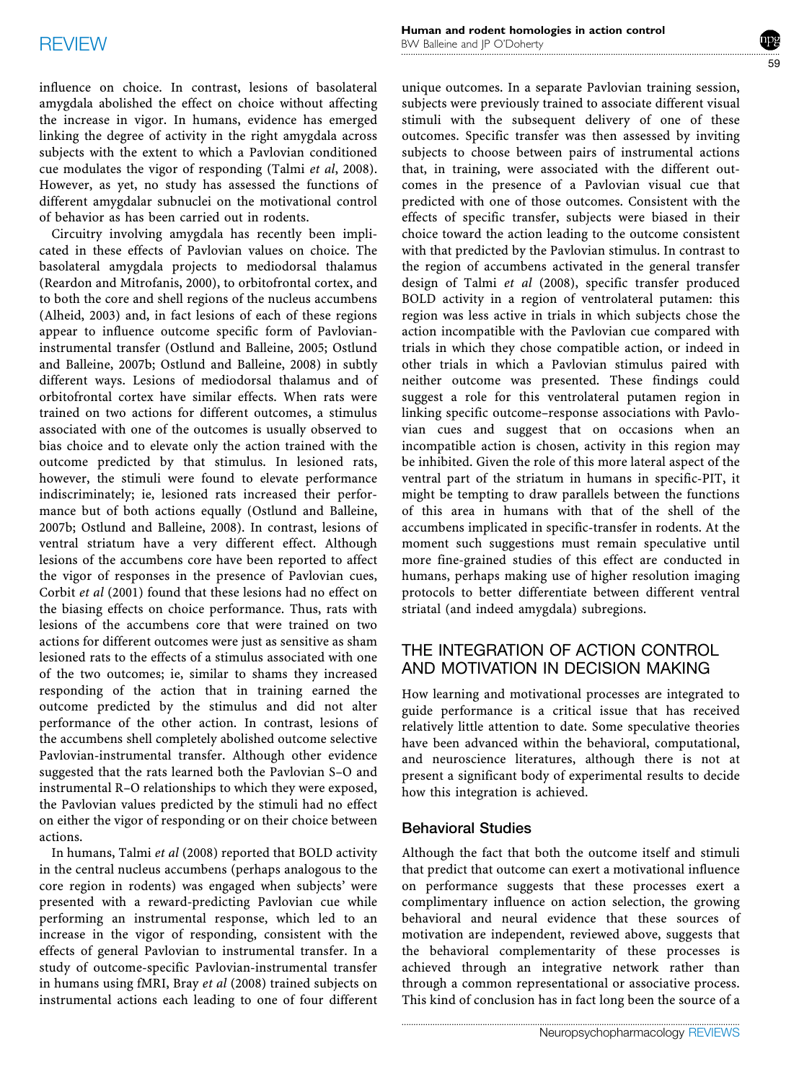influence on choice. In contrast, lesions of basolateral amygdala abolished the effect on choice without affecting the increase in vigor. In humans, evidence has emerged linking the degree of activity in the right amygdala across subjects with the extent to which a Pavlovian conditioned cue modulates the vigor of responding (Talmi et al[, 2008\)](#page-20-0). However, as yet, no study has assessed the functions of different amygdalar subnuclei on the motivational control of behavior as has been carried out in rodents.

Circuitry involving amygdala has recently been implicated in these effects of Pavlovian values on choice. The basolateral amygdala projects to mediodorsal thalamus [\(Reardon and Mitrofanis, 2000\)](#page-20-0), to orbitofrontal cortex, and to both the core and shell regions of the nucleus accumbens [\(Alheid, 2003\)](#page-17-0) and, in fact lesions of each of these regions appear to influence outcome specific form of Pavlovianinstrumental transfer ([Ostlund and Balleine, 2005; Ostlund](#page-20-0) [and Balleine, 2007b; Ostlund and Balleine, 2008](#page-20-0)) in subtly different ways. Lesions of mediodorsal thalamus and of orbitofrontal cortex have similar effects. When rats were trained on two actions for different outcomes, a stimulus associated with one of the outcomes is usually observed to bias choice and to elevate only the action trained with the outcome predicted by that stimulus. In lesioned rats, however, the stimuli were found to elevate performance indiscriminately; ie, lesioned rats increased their performance but of both actions equally ([Ostlund and Balleine,](#page-20-0) [2007b](#page-20-0); [Ostlund and Balleine, 2008\)](#page-20-0). In contrast, lesions of ventral striatum have a very different effect. Although lesions of the accumbens core have been reported to affect the vigor of responses in the presence of Pavlovian cues, Corbit et al (2001) found that these lesions had no effect on the biasing effects on choice performance. Thus, rats with lesions of the accumbens core that were trained on two actions for different outcomes were just as sensitive as sham lesioned rats to the effects of a stimulus associated with one of the two outcomes; ie, similar to shams they increased responding of the action that in training earned the outcome predicted by the stimulus and did not alter performance of the other action. In contrast, lesions of the accumbens shell completely abolished outcome selective Pavlovian-instrumental transfer. Although other evidence suggested that the rats learned both the Pavlovian S–O and instrumental R–O relationships to which they were exposed, the Pavlovian values predicted by the stimuli had no effect on either the vigor of responding or on their choice between actions.

In humans, Talmi et al [\(2008\)](#page-20-0) reported that BOLD activity in the central nucleus accumbens (perhaps analogous to the core region in rodents) was engaged when subjects' were presented with a reward-predicting Pavlovian cue while performing an instrumental response, which led to an increase in the vigor of responding, consistent with the effects of general Pavlovian to instrumental transfer. In a study of outcome-specific Pavlovian-instrumental transfer in humans using fMRI, Bray et al [\(2008\)](#page-18-0) trained subjects on instrumental actions each leading to one of four different unique outcomes. In a separate Pavlovian training session, subjects were previously trained to associate different visual stimuli with the subsequent delivery of one of these outcomes. Specific transfer was then assessed by inviting subjects to choose between pairs of instrumental actions that, in training, were associated with the different outcomes in the presence of a Pavlovian visual cue that predicted with one of those outcomes. Consistent with the effects of specific transfer, subjects were biased in their choice toward the action leading to the outcome consistent with that predicted by the Pavlovian stimulus. In contrast to the region of accumbens activated in the general transfer design of Talmi et al [\(2008\)](#page-20-0), specific transfer produced BOLD activity in a region of ventrolateral putamen: this region was less active in trials in which subjects chose the action incompatible with the Pavlovian cue compared with trials in which they chose compatible action, or indeed in other trials in which a Pavlovian stimulus paired with neither outcome was presented. These findings could suggest a role for this ventrolateral putamen region in linking specific outcome–response associations with Pavlovian cues and suggest that on occasions when an incompatible action is chosen, activity in this region may be inhibited. Given the role of this more lateral aspect of the ventral part of the striatum in humans in specific-PIT, it might be tempting to draw parallels between the functions of this area in humans with that of the shell of the accumbens implicated in specific-transfer in rodents. At the moment such suggestions must remain speculative until more fine-grained studies of this effect are conducted in humans, perhaps making use of higher resolution imaging protocols to better differentiate between different ventral striatal (and indeed amygdala) subregions.

# THE INTEGRATION OF ACTION CONTROL AND MOTIVATION IN DECISION MAKING

How learning and motivational processes are integrated to guide performance is a critical issue that has received relatively little attention to date. Some speculative theories have been advanced within the behavioral, computational, and neuroscience literatures, although there is not at present a significant body of experimental results to decide how this integration is achieved.

### Behavioral Studies

Although the fact that both the outcome itself and stimuli that predict that outcome can exert a motivational influence on performance suggests that these processes exert a complimentary influence on action selection, the growing behavioral and neural evidence that these sources of motivation are independent, reviewed above, suggests that the behavioral complementarity of these processes is achieved through an integrative network rather than through a common representational or associative process. This kind of conclusion has in fact long been the source of a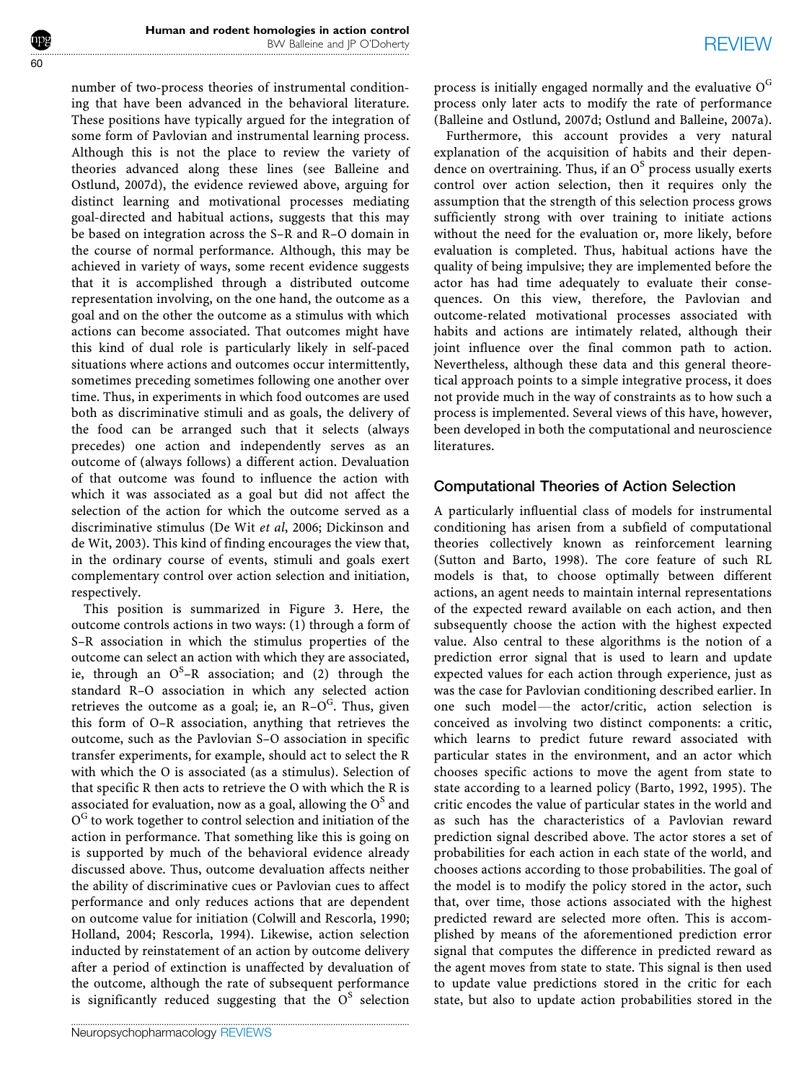number of two-process theories of instrumental conditioning that have been advanced in the behavioral literature. These positions have typically argued for the integration of some form of Pavlovian and instrumental learning process. Although this is not the place to review the variety of theories advanced along these lines (see [Balleine and](#page-17-0) [Ostlund, 2007d\)](#page-17-0), the evidence reviewed above, arguing for distinct learning and motivational processes mediating goal-directed and habitual actions, suggests that this may be based on integration across the S–R and R–O domain in the course of normal performance. Although, this may be achieved in variety of ways, some recent evidence suggests that it is accomplished through a distributed outcome representation involving, on the one hand, the outcome as a goal and on the other the outcome as a stimulus with which actions can become associated. That outcomes might have this kind of dual role is particularly likely in self-paced situations where actions and outcomes occur intermittently, sometimes preceding sometimes following one another over time. Thus, in experiments in which food outcomes are used both as discriminative stimuli and as goals, the delivery of the food can be arranged such that it selects (always precedes) one action and independently serves as an outcome of (always follows) a different action. Devaluation of that outcome was found to influence the action with which it was associated as a goal but did not affect the selection of the action for which the outcome served as a discriminative stimulus [\(De Wit](#page-18-0) et al, 2006; [Dickinson and](#page-18-0) [de Wit, 2003\)](#page-18-0). This kind of finding encourages the view that, in the ordinary course of events, stimuli and goals exert complementary control over action selection and initiation, respectively.

This position is summarized in [Figure 3.](#page-13-0) Here, the outcome controls actions in two ways: (1) through a form of S–R association in which the stimulus properties of the outcome can select an action with which they are associated, ie, through an  $O^S-R$  association; and (2) through the standard R–O association in which any selected action retrieves the outcome as a goal; ie, an  $R-O<sup>G</sup>$ . Thus, given this form of O–R association, anything that retrieves the outcome, such as the Pavlovian S–O association in specific transfer experiments, for example, should act to select the R with which the O is associated (as a stimulus). Selection of that specific R then acts to retrieve the O with which the R is associated for evaluation, now as a goal, allowing the  $O<sup>S</sup>$  and O<sup>G</sup> to work together to control selection and initiation of the action in performance. That something like this is going on is supported by much of the behavioral evidence already discussed above. Thus, outcome devaluation affects neither the ability of discriminative cues or Pavlovian cues to affect performance and only reduces actions that are dependent on outcome value for initiation ([Colwill and Rescorla, 1990](#page-18-0); [Holland, 2004;](#page-19-0) [Rescorla, 1994](#page-20-0)). Likewise, action selection inducted by reinstatement of an action by outcome delivery after a period of extinction is unaffected by devaluation of the outcome, although the rate of subsequent performance is significantly reduced suggesting that the  $O<sup>S</sup>$  selection

process is initially engaged normally and the evaluative  $O^G$ process only later acts to modify the rate of performance ([Balleine and Ostlund, 2007d;](#page-17-0) [Ostlund and Balleine, 2007a](#page-20-0)).

Furthermore, this account provides a very natural explanation of the acquisition of habits and their dependence on overtraining. Thus, if an  $O<sup>S</sup>$  process usually exerts control over action selection, then it requires only the assumption that the strength of this selection process grows sufficiently strong with over training to initiate actions without the need for the evaluation or, more likely, before evaluation is completed. Thus, habitual actions have the quality of being impulsive; they are implemented before the actor has had time adequately to evaluate their consequences. On this view, therefore, the Pavlovian and outcome-related motivational processes associated with habits and actions are intimately related, although their joint influence over the final common path to action. Nevertheless, although these data and this general theoretical approach points to a simple integrative process, it does not provide much in the way of constraints as to how such a process is implemented. Several views of this have, however, been developed in both the computational and neuroscience literatures.

#### Computational Theories of Action Selection

A particularly influential class of models for instrumental conditioning has arisen from a subfield of computational theories collectively known as reinforcement learning ([Sutton and Barto, 1998\)](#page-20-0). The core feature of such RL models is that, to choose optimally between different actions, an agent needs to maintain internal representations of the expected reward available on each action, and then subsequently choose the action with the highest expected value. Also central to these algorithms is the notion of a prediction error signal that is used to learn and update expected values for each action through experience, just as was the case for Pavlovian conditioning described earlier. In one such model—the actor/critic, action selection is conceived as involving two distinct components: a critic, which learns to predict future reward associated with particular states in the environment, and an actor which chooses specific actions to move the agent from state to state according to a learned policy ([Barto, 1992, 1995](#page-17-0)). The critic encodes the value of particular states in the world and as such has the characteristics of a Pavlovian reward prediction signal described above. The actor stores a set of probabilities for each action in each state of the world, and chooses actions according to those probabilities. The goal of the model is to modify the policy stored in the actor, such that, over time, those actions associated with the highest predicted reward are selected more often. This is accomplished by means of the aforementioned prediction error signal that computes the difference in predicted reward as the agent moves from state to state. This signal is then used to update value predictions stored in the critic for each state, but also to update action probabilities stored in the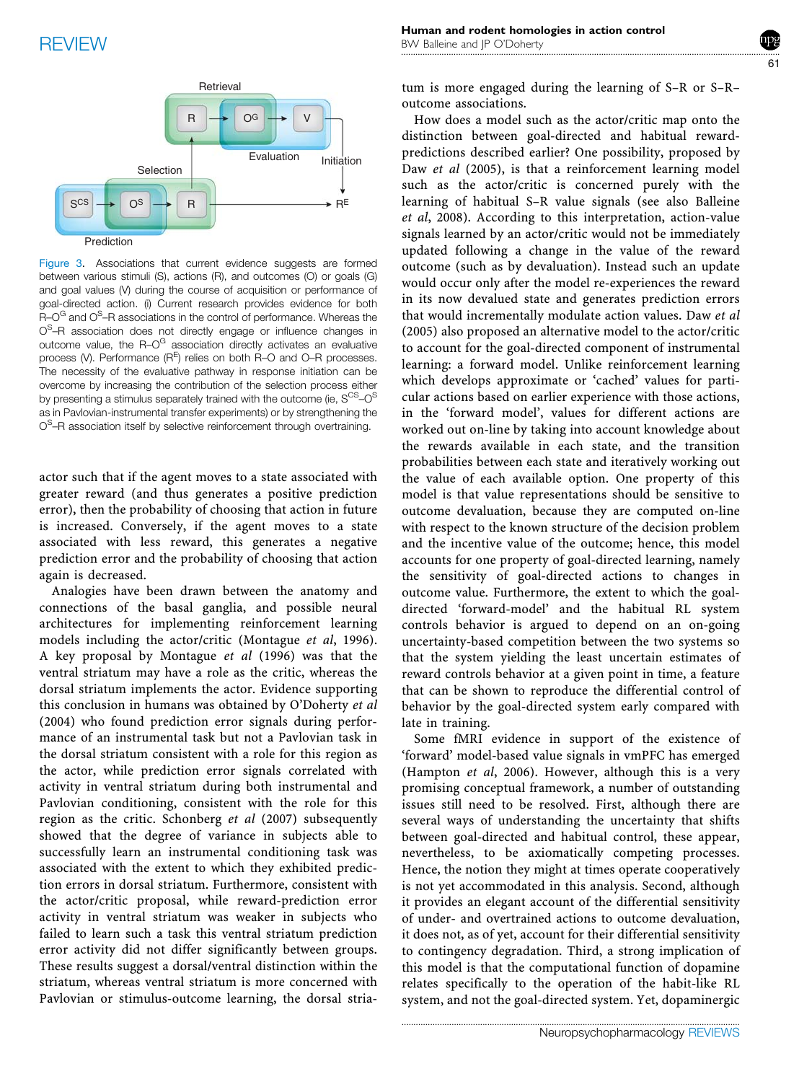<span id="page-13-0"></span>

Figure 3. Associations that current evidence suggests are formed between various stimuli (S), actions (R), and outcomes (O) or goals (G) and goal values (V) during the course of acquisition or performance of goal-directed action. (i) Current research provides evidence for both R-O<sup>G</sup> and O<sup>S</sup>-R associations in the control of performance. Whereas the O<sup>S</sup>-R association does not directly engage or influence changes in outcome value, the R–O<sup>G</sup> association directly activates an evaluative process (V). Performance (R<sup>E</sup>) relies on both R–O and O–R processes. The necessity of the evaluative pathway in response initiation can be overcome by increasing the contribution of the selection process either by presenting a stimulus separately trained with the outcome (ie, SCS-OS as in Pavlovian-instrumental transfer experiments) or by strengthening the O<sup>S</sup>-R association itself by selective reinforcement through overtraining.

actor such that if the agent moves to a state associated with greater reward (and thus generates a positive prediction error), then the probability of choosing that action in future is increased. Conversely, if the agent moves to a state associated with less reward, this generates a negative prediction error and the probability of choosing that action again is decreased.

Analogies have been drawn between the anatomy and connections of the basal ganglia, and possible neural architectures for implementing reinforcement learning models including the actor/critic ([Montague](#page-19-0) et al, 1996). A key proposal by [Montague](#page-19-0) et al (1996) was that the ventral striatum may have a role as the critic, whereas the dorsal striatum implements the actor. Evidence supporting this conclusion in humans was obtained by [O'Doherty](#page-19-0) et al [\(2004\)](#page-19-0) who found prediction error signals during performance of an instrumental task but not a Pavlovian task in the dorsal striatum consistent with a role for this region as the actor, while prediction error signals correlated with activity in ventral striatum during both instrumental and Pavlovian conditioning, consistent with the role for this region as the critic. [Schonberg](#page-20-0) et al (2007) subsequently showed that the degree of variance in subjects able to successfully learn an instrumental conditioning task was associated with the extent to which they exhibited prediction errors in dorsal striatum. Furthermore, consistent with the actor/critic proposal, while reward-prediction error activity in ventral striatum was weaker in subjects who failed to learn such a task this ventral striatum prediction error activity did not differ significantly between groups. These results suggest a dorsal/ventral distinction within the striatum, whereas ventral striatum is more concerned with Pavlovian or stimulus-outcome learning, the dorsal striatum is more engaged during the learning of S–R or S–R– outcome associations.

How does a model such as the actor/critic map onto the distinction between goal-directed and habitual rewardpredictions described earlier? One possibility, proposed by Daw et al [\(2005\)](#page-18-0), is that a reinforcement learning model such as the actor/critic is concerned purely with the learning of habitual S–R value signals (see also [Balleine](#page-17-0) et al[, 2008\)](#page-17-0). According to this interpretation, action-value signals learned by an actor/critic would not be immediately updated following a change in the value of the reward outcome (such as by devaluation). Instead such an update would occur only after the model re-experiences the reward in its now devalued state and generates prediction errors that would incrementally modulate action values. [Daw](#page-18-0) et al [\(2005\)](#page-18-0) also proposed an alternative model to the actor/critic to account for the goal-directed component of instrumental learning: a forward model. Unlike reinforcement learning which develops approximate or 'cached' values for particular actions based on earlier experience with those actions, in the 'forward model', values for different actions are worked out on-line by taking into account knowledge about the rewards available in each state, and the transition probabilities between each state and iteratively working out the value of each available option. One property of this model is that value representations should be sensitive to outcome devaluation, because they are computed on-line with respect to the known structure of the decision problem and the incentive value of the outcome; hence, this model accounts for one property of goal-directed learning, namely the sensitivity of goal-directed actions to changes in outcome value. Furthermore, the extent to which the goaldirected 'forward-model' and the habitual RL system controls behavior is argued to depend on an on-going uncertainty-based competition between the two systems so that the system yielding the least uncertain estimates of reward controls behavior at a given point in time, a feature that can be shown to reproduce the differential control of behavior by the goal-directed system early compared with late in training.

Some fMRI evidence in support of the existence of 'forward' model-based value signals in vmPFC has emerged [\(Hampton](#page-19-0) et al, 2006). However, although this is a very promising conceptual framework, a number of outstanding issues still need to be resolved. First, although there are several ways of understanding the uncertainty that shifts between goal-directed and habitual control, these appear, nevertheless, to be axiomatically competing processes. Hence, the notion they might at times operate cooperatively is not yet accommodated in this analysis. Second, although it provides an elegant account of the differential sensitivity of under- and overtrained actions to outcome devaluation, it does not, as of yet, account for their differential sensitivity to contingency degradation. Third, a strong implication of this model is that the computational function of dopamine relates specifically to the operation of the habit-like RL system, and not the goal-directed system. Yet, dopaminergic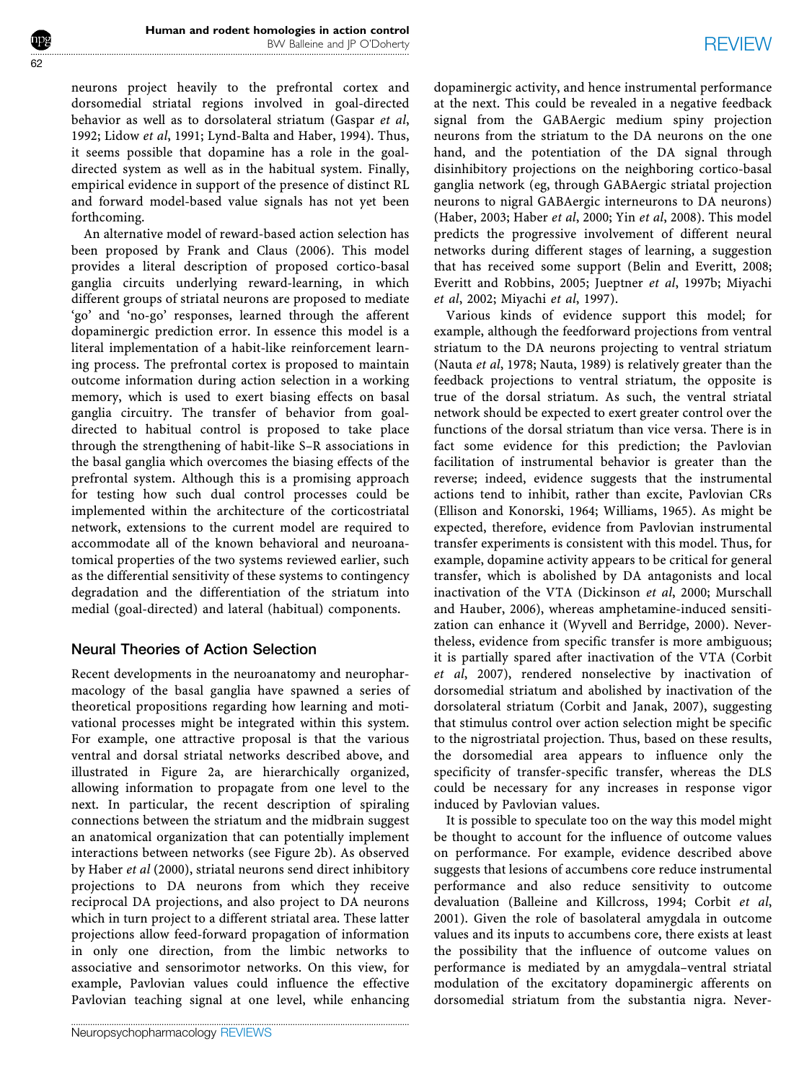neurons project heavily to the prefrontal cortex and dorsomedial striatal regions involved in goal-directed behavior as well as to dorsolateral striatum ([Gaspar](#page-18-0) et al, [1992](#page-18-0); [Lidow](#page-19-0) et al, 1991; [Lynd-Balta and Haber, 1994](#page-19-0)). Thus, it seems possible that dopamine has a role in the goaldirected system as well as in the habitual system. Finally, empirical evidence in support of the presence of distinct RL and forward model-based value signals has not yet been forthcoming.

An alternative model of reward-based action selection has been proposed by [Frank and Claus \(2006\).](#page-18-0) This model provides a literal description of proposed cortico-basal ganglia circuits underlying reward-learning, in which different groups of striatal neurons are proposed to mediate 'go' and 'no-go' responses, learned through the afferent dopaminergic prediction error. In essence this model is a literal implementation of a habit-like reinforcement learning process. The prefrontal cortex is proposed to maintain outcome information during action selection in a working memory, which is used to exert biasing effects on basal ganglia circuitry. The transfer of behavior from goaldirected to habitual control is proposed to take place through the strengthening of habit-like S–R associations in the basal ganglia which overcomes the biasing effects of the prefrontal system. Although this is a promising approach for testing how such dual control processes could be implemented within the architecture of the corticostriatal network, extensions to the current model are required to accommodate all of the known behavioral and neuroanatomical properties of the two systems reviewed earlier, such as the differential sensitivity of these systems to contingency degradation and the differentiation of the striatum into medial (goal-directed) and lateral (habitual) components.

### Neural Theories of Action Selection

Recent developments in the neuroanatomy and neuropharmacology of the basal ganglia have spawned a series of theoretical propositions regarding how learning and motivational processes might be integrated within this system. For example, one attractive proposal is that the various ventral and dorsal striatal networks described above, and illustrated in [Figure 2a,](#page-5-0) are hierarchically organized, allowing information to propagate from one level to the next. In particular, the recent description of spiraling connections between the striatum and the midbrain suggest an anatomical organization that can potentially implement interactions between networks (see [Figure 2b\)](#page-5-0). As observed by [Haber](#page-18-0) et al (2000), striatal neurons send direct inhibitory projections to DA neurons from which they receive reciprocal DA projections, and also project to DA neurons which in turn project to a different striatal area. These latter projections allow feed-forward propagation of information in only one direction, from the limbic networks to associative and sensorimotor networks. On this view, for example, Pavlovian values could influence the effective Pavlovian teaching signal at one level, while enhancing

dopaminergic activity, and hence instrumental performance at the next. This could be revealed in a negative feedback signal from the GABAergic medium spiny projection neurons from the striatum to the DA neurons on the one hand, and the potentiation of the DA signal through disinhibitory projections on the neighboring cortico-basal ganglia network (eg, through GABAergic striatal projection neurons to nigral GABAergic interneurons to DA neurons) ([Haber, 2003; Haber](#page-18-0) et al, 2000; Yin et al[, 2008](#page-21-0)). This model predicts the progressive involvement of different neural networks during different stages of learning, a suggestion that has received some support [\(Belin and Everitt, 2008](#page-17-0); [Everitt and Robbins, 2005;](#page-18-0) [Jueptner](#page-19-0) et al, 1997b; [Miyachi](#page-19-0) et al[, 2002; Miyachi](#page-19-0) et al, 1997).

Various kinds of evidence support this model; for example, although the feedforward projections from ventral striatum to the DA neurons projecting to ventral striatum ([Nauta](#page-19-0) et al, 1978; [Nauta, 1989\)](#page-19-0) is relatively greater than the feedback projections to ventral striatum, the opposite is true of the dorsal striatum. As such, the ventral striatal network should be expected to exert greater control over the functions of the dorsal striatum than vice versa. There is in fact some evidence for this prediction; the Pavlovian facilitation of instrumental behavior is greater than the reverse; indeed, evidence suggests that the instrumental actions tend to inhibit, rather than excite, Pavlovian CRs ([Ellison and Konorski, 1964;](#page-18-0) [Williams, 1965\)](#page-20-0). As might be expected, therefore, evidence from Pavlovian instrumental transfer experiments is consistent with this model. Thus, for example, dopamine activity appears to be critical for general transfer, which is abolished by DA antagonists and local inactivation of the VTA ([Dickinson](#page-18-0) et al, 2000; [Murschall](#page-19-0) [and Hauber, 2006](#page-19-0)), whereas amphetamine-induced sensitization can enhance it ([Wyvell and Berridge, 2000\)](#page-21-0). Nevertheless, evidence from specific transfer is more ambiguous; it is partially spared after inactivation of the VTA ([Corbit](#page-18-0) et al[, 2007](#page-18-0)), rendered nonselective by inactivation of dorsomedial striatum and abolished by inactivation of the dorsolateral striatum [\(Corbit and Janak, 2007\)](#page-18-0), suggesting that stimulus control over action selection might be specific to the nigrostriatal projection. Thus, based on these results, the dorsomedial area appears to influence only the specificity of transfer-specific transfer, whereas the DLS could be necessary for any increases in response vigor induced by Pavlovian values.

It is possible to speculate too on the way this model might be thought to account for the influence of outcome values on performance. For example, evidence described above suggests that lesions of accumbens core reduce instrumental performance and also reduce sensitivity to outcome devaluation ([Balleine and Killcross, 1994](#page-17-0); [Corbit](#page-18-0) et al, [2001](#page-18-0)). Given the role of basolateral amygdala in outcome values and its inputs to accumbens core, there exists at least the possibility that the influence of outcome values on performance is mediated by an amygdala–ventral striatal modulation of the excitatory dopaminergic afferents on dorsomedial striatum from the substantia nigra. Never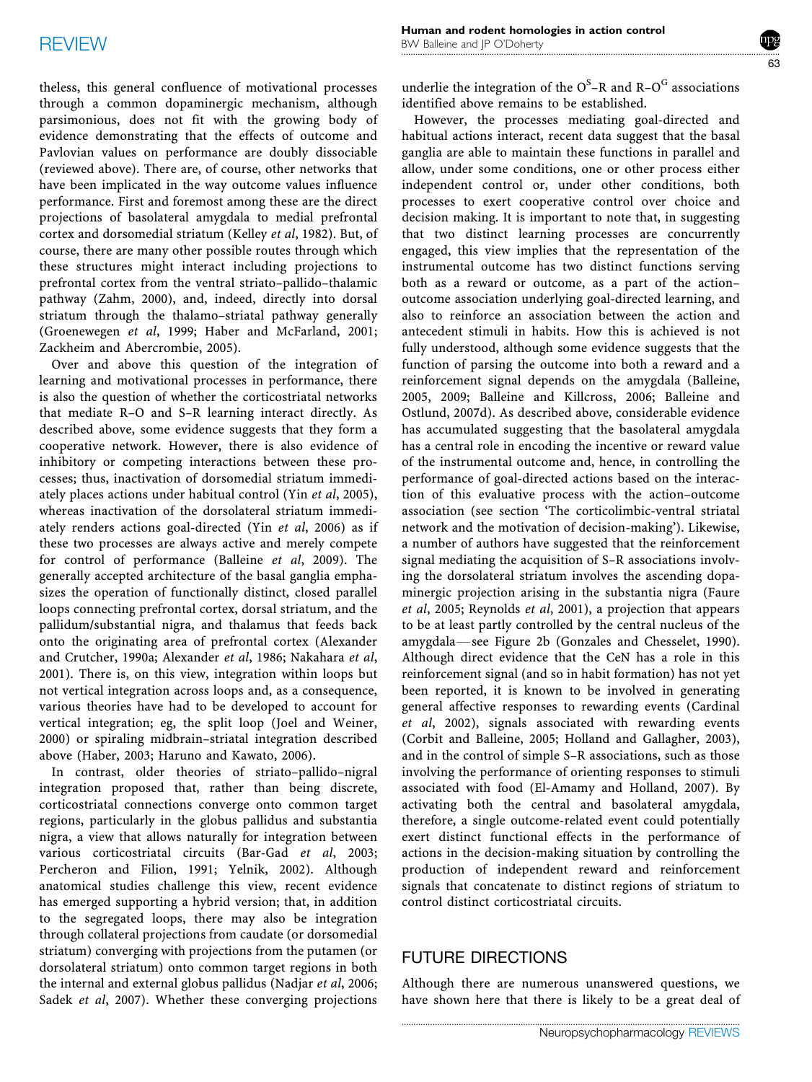............................................................................................................................................................... 63

theless, this general confluence of motivational processes through a common dopaminergic mechanism, although parsimonious, does not fit with the growing body of evidence demonstrating that the effects of outcome and Pavlovian values on performance are doubly dissociable (reviewed above). There are, of course, other networks that have been implicated in the way outcome values influence performance. First and foremost among these are the direct projections of basolateral amygdala to medial prefrontal cortex and dorsomedial striatum ([Kelley](#page-19-0) et al, 1982). But, of course, there are many other possible routes through which these structures might interact including projections to prefrontal cortex from the ventral striato–pallido–thalamic pathway [\(Zahm, 2000](#page-21-0)), and, indeed, directly into dorsal striatum through the thalamo–striatal pathway generally [\(Groenewegen](#page-18-0) et al, 1999; [Haber and McFarland, 2001;](#page-18-0) [Zackheim and Abercrombie, 2005\)](#page-21-0).

Over and above this question of the integration of learning and motivational processes in performance, there is also the question of whether the corticostriatal networks that mediate R–O and S–R learning interact directly. As described above, some evidence suggests that they form a cooperative network. However, there is also evidence of inhibitory or competing interactions between these processes; thus, inactivation of dorsomedial striatum immediately places actions under habitual control (Yin et al[, 2005\)](#page-21-0), whereas inactivation of the dorsolateral striatum immediately renders actions goal-directed (Yin et al[, 2006\)](#page-21-0) as if these two processes are always active and merely compete for control of performance [\(Balleine](#page-17-0) et al, 2009). The generally accepted architecture of the basal ganglia emphasizes the operation of functionally distinct, closed parallel loops connecting prefrontal cortex, dorsal striatum, and the pallidum/substantial nigra, and thalamus that feeds back onto the originating area of prefrontal cortex ([Alexander](#page-17-0) [and Crutcher, 1990a](#page-17-0); [Alexander](#page-17-0) et al, 1986; [Nakahara](#page-19-0) et al, [2001\)](#page-19-0). There is, on this view, integration within loops but not vertical integration across loops and, as a consequence, various theories have had to be developed to account for vertical integration; eg, the split loop ([Joel and Weiner,](#page-19-0) [2000\)](#page-19-0) or spiraling midbrain–striatal integration described above ([Haber, 2003](#page-18-0); [Haruno and Kawato, 2006\)](#page-19-0).

In contrast, older theories of striato–pallido–nigral integration proposed that, rather than being discrete, corticostriatal connections converge onto common target regions, particularly in the globus pallidus and substantia nigra, a view that allows naturally for integration between various corticostriatal circuits [\(Bar-Gad](#page-17-0) et al, 2003; [Percheron and Filion, 1991](#page-20-0); [Yelnik, 2002](#page-21-0)). Although anatomical studies challenge this view, recent evidence has emerged supporting a hybrid version; that, in addition to the segregated loops, there may also be integration through collateral projections from caudate (or dorsomedial striatum) converging with projections from the putamen (or dorsolateral striatum) onto common target regions in both the internal and external globus pallidus ([Nadjar](#page-19-0) et al, 2006; Sadek et al[, 2007](#page-20-0)). Whether these converging projections

underlie the integration of the  $O<sup>S</sup> - R$  and  $R - O<sup>G</sup>$  associations identified above remains to be established.

However, the processes mediating goal-directed and habitual actions interact, recent data suggest that the basal ganglia are able to maintain these functions in parallel and allow, under some conditions, one or other process either independent control or, under other conditions, both processes to exert cooperative control over choice and decision making. It is important to note that, in suggesting that two distinct learning processes are concurrently engaged, this view implies that the representation of the instrumental outcome has two distinct functions serving both as a reward or outcome, as a part of the action– outcome association underlying goal-directed learning, and also to reinforce an association between the action and antecedent stimuli in habits. How this is achieved is not fully understood, although some evidence suggests that the function of parsing the outcome into both a reward and a reinforcement signal depends on the amygdala ([Balleine,](#page-17-0) [2005, 2009](#page-17-0); [Balleine and Killcross, 2006](#page-17-0); [Balleine and](#page-17-0) [Ostlund, 2007d\)](#page-17-0). As described above, considerable evidence has accumulated suggesting that the basolateral amygdala has a central role in encoding the incentive or reward value of the instrumental outcome and, hence, in controlling the performance of goal-directed actions based on the interaction of this evaluative process with the action–outcome association (see section 'The corticolimbic-ventral striatal network and the motivation of decision-making'). Likewise, a number of authors have suggested that the reinforcement signal mediating the acquisition of S–R associations involving the dorsolateral striatum involves the ascending dopaminergic projection arising in the substantia nigra [\(Faure](#page-18-0) et al[, 2005](#page-18-0); [Reynolds](#page-20-0) et al, 2001), a projection that appears to be at least partly controlled by the central nucleus of the amygdala-see [Figure 2b](#page-5-0) ([Gonzales and Chesselet, 1990\)](#page-18-0). Although direct evidence that the CeN has a role in this reinforcement signal (and so in habit formation) has not yet been reported, it is known to be involved in generating general affective responses to rewarding events [\(Cardinal](#page-18-0) et al[, 2002\)](#page-18-0), signals associated with rewarding events [\(Corbit and Balleine, 2005;](#page-18-0) [Holland and Gallagher, 2003\)](#page-19-0), and in the control of simple S–R associations, such as those involving the performance of orienting responses to stimuli associated with food [\(El-Amamy and Holland, 2007](#page-18-0)). By activating both the central and basolateral amygdala, therefore, a single outcome-related event could potentially exert distinct functional effects in the performance of actions in the decision-making situation by controlling the production of independent reward and reinforcement signals that concatenate to distinct regions of striatum to control distinct corticostriatal circuits.

# FUTURE DIRECTIONS

Although there are numerous unanswered questions, we have shown here that there is likely to be a great deal of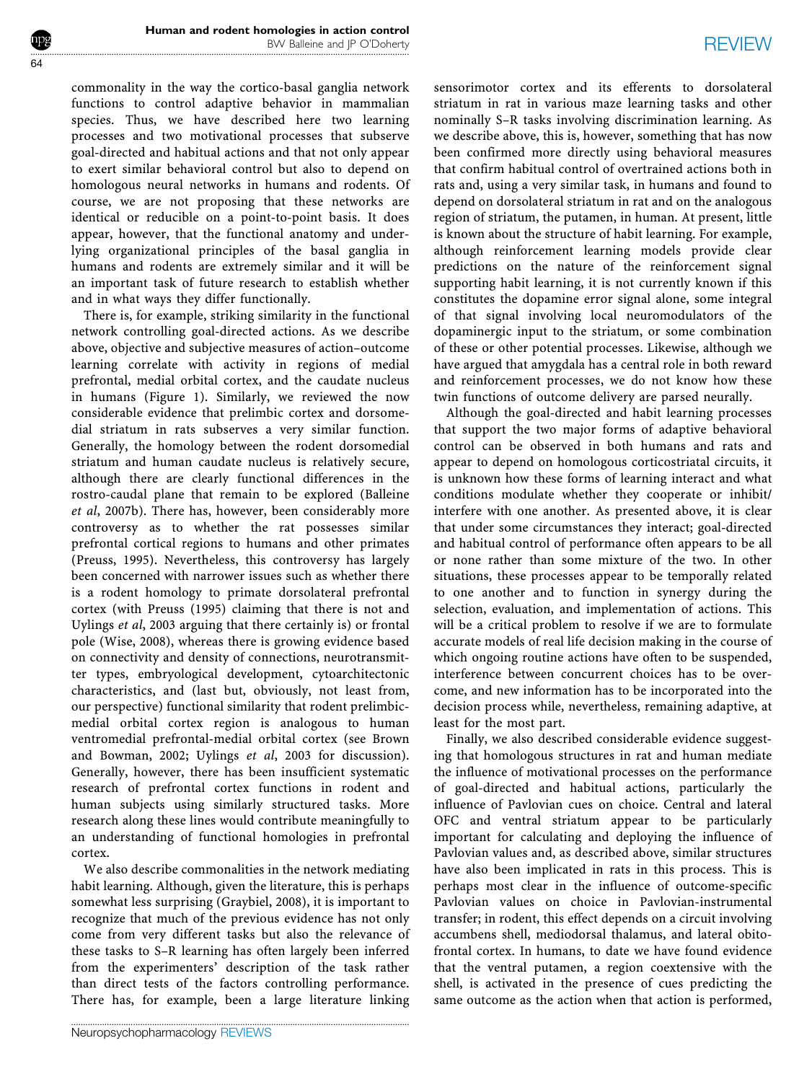commonality in the way the cortico-basal ganglia network functions to control adaptive behavior in mammalian species. Thus, we have described here two learning processes and two motivational processes that subserve goal-directed and habitual actions and that not only appear to exert similar behavioral control but also to depend on homologous neural networks in humans and rodents. Of course, we are not proposing that these networks are identical or reducible on a point-to-point basis. It does appear, however, that the functional anatomy and underlying organizational principles of the basal ganglia in humans and rodents are extremely similar and it will be an important task of future research to establish whether and in what ways they differ functionally.

64

There is, for example, striking similarity in the functional network controlling goal-directed actions. As we describe above, objective and subjective measures of action–outcome learning correlate with activity in regions of medial prefrontal, medial orbital cortex, and the caudate nucleus in humans [\(Figure 1\)](#page-4-0). Similarly, we reviewed the now considerable evidence that prelimbic cortex and dorsomedial striatum in rats subserves a very similar function. Generally, the homology between the rodent dorsomedial striatum and human caudate nucleus is relatively secure, although there are clearly functional differences in the rostro-caudal plane that remain to be explored ([Balleine](#page-17-0) et al[, 2007b\)](#page-17-0). There has, however, been considerably more controversy as to whether the rat possesses similar prefrontal cortical regions to humans and other primates ([Preuss, 1995\)](#page-20-0). Nevertheless, this controversy has largely been concerned with narrower issues such as whether there is a rodent homology to primate dorsolateral prefrontal cortex (with [Preuss \(1995\)](#page-20-0) claiming that there is not and [Uylings](#page-20-0) et al, 2003 arguing that there certainly is) or frontal pole ([Wise, 2008\)](#page-21-0), whereas there is growing evidence based on connectivity and density of connections, neurotransmitter types, embryological development, cytoarchitectonic characteristics, and (last but, obviously, not least from, our perspective) functional similarity that rodent prelimbicmedial orbital cortex region is analogous to human ventromedial prefrontal-medial orbital cortex (see [Brown](#page-18-0) [and Bowman, 2002](#page-18-0); [Uylings](#page-20-0) et al, 2003 for discussion). Generally, however, there has been insufficient systematic research of prefrontal cortex functions in rodent and human subjects using similarly structured tasks. More research along these lines would contribute meaningfully to an understanding of functional homologies in prefrontal cortex.

We also describe commonalities in the network mediating habit learning. Although, given the literature, this is perhaps somewhat less surprising [\(Graybiel, 2008](#page-18-0)), it is important to recognize that much of the previous evidence has not only come from very different tasks but also the relevance of these tasks to S–R learning has often largely been inferred from the experimenters' description of the task rather than direct tests of the factors controlling performance. There has, for example, been a large literature linking sensorimotor cortex and its efferents to dorsolateral striatum in rat in various maze learning tasks and other nominally S–R tasks involving discrimination learning. As we describe above, this is, however, something that has now been confirmed more directly using behavioral measures that confirm habitual control of overtrained actions both in rats and, using a very similar task, in humans and found to depend on dorsolateral striatum in rat and on the analogous region of striatum, the putamen, in human. At present, little is known about the structure of habit learning. For example, although reinforcement learning models provide clear predictions on the nature of the reinforcement signal supporting habit learning, it is not currently known if this constitutes the dopamine error signal alone, some integral of that signal involving local neuromodulators of the dopaminergic input to the striatum, or some combination of these or other potential processes. Likewise, although we have argued that amygdala has a central role in both reward and reinforcement processes, we do not know how these twin functions of outcome delivery are parsed neurally.

Although the goal-directed and habit learning processes that support the two major forms of adaptive behavioral control can be observed in both humans and rats and appear to depend on homologous corticostriatal circuits, it is unknown how these forms of learning interact and what conditions modulate whether they cooperate or inhibit/ interfere with one another. As presented above, it is clear that under some circumstances they interact; goal-directed and habitual control of performance often appears to be all or none rather than some mixture of the two. In other situations, these processes appear to be temporally related to one another and to function in synergy during the selection, evaluation, and implementation of actions. This will be a critical problem to resolve if we are to formulate accurate models of real life decision making in the course of which ongoing routine actions have often to be suspended, interference between concurrent choices has to be overcome, and new information has to be incorporated into the decision process while, nevertheless, remaining adaptive, at least for the most part.

Finally, we also described considerable evidence suggesting that homologous structures in rat and human mediate the influence of motivational processes on the performance of goal-directed and habitual actions, particularly the influence of Pavlovian cues on choice. Central and lateral OFC and ventral striatum appear to be particularly important for calculating and deploying the influence of Pavlovian values and, as described above, similar structures have also been implicated in rats in this process. This is perhaps most clear in the influence of outcome-specific Pavlovian values on choice in Pavlovian-instrumental transfer; in rodent, this effect depends on a circuit involving accumbens shell, mediodorsal thalamus, and lateral obitofrontal cortex. In humans, to date we have found evidence that the ventral putamen, a region coextensive with the shell, is activated in the presence of cues predicting the same outcome as the action when that action is performed,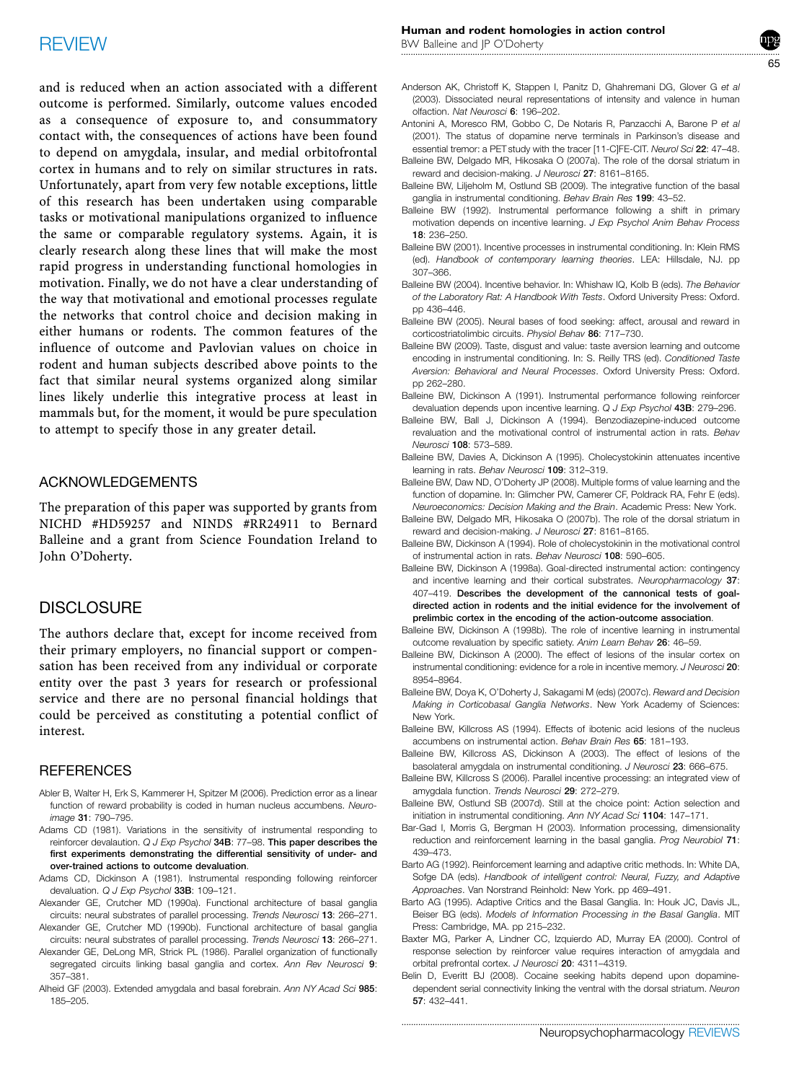<span id="page-17-0"></span>and is reduced when an action associated with a different outcome is performed. Similarly, outcome values encoded as a consequence of exposure to, and consummatory contact with, the consequences of actions have been found to depend on amygdala, insular, and medial orbitofrontal cortex in humans and to rely on similar structures in rats. Unfortunately, apart from very few notable exceptions, little of this research has been undertaken using comparable tasks or motivational manipulations organized to influence the same or comparable regulatory systems. Again, it is clearly research along these lines that will make the most rapid progress in understanding functional homologies in motivation. Finally, we do not have a clear understanding of the way that motivational and emotional processes regulate the networks that control choice and decision making in either humans or rodents. The common features of the influence of outcome and Pavlovian values on choice in rodent and human subjects described above points to the fact that similar neural systems organized along similar lines likely underlie this integrative process at least in mammals but, for the moment, it would be pure speculation to attempt to specify those in any greater detail.

#### ACKNOWLEDGEMENTS

The preparation of this paper was supported by grants from NICHD #HD59257 and NINDS #RR24911 to Bernard Balleine and a grant from Science Foundation Ireland to John O'Doherty.

### **DISCLOSURE**

The authors declare that, except for income received from their primary employers, no financial support or compensation has been received from any individual or corporate entity over the past 3 years for research or professional service and there are no personal financial holdings that could be perceived as constituting a potential conflict of interest.

#### **REFERENCES**

- Abler B, Walter H, Erk S, Kammerer H, Spitzer M (2006). Prediction error as a linear function of reward probability is coded in human nucleus accumbens. Neuroimage 31: 790–795.
- Adams CD (1981). Variations in the sensitivity of instrumental responding to reinforcer devalaution. Q J Exp Psychol 34B: 77-98. This paper describes the first experiments demonstrating the differential sensitivity of under- and over-trained actions to outcome devaluation.
- Adams CD, Dickinson A (1981). Instrumental responding following reinforcer devaluation. Q J Exp Psychol 33B: 109-121.
- Alexander GE, Crutcher MD (1990a). Functional architecture of basal ganglia circuits: neural substrates of parallel processing. Trends Neurosci 13: 266–271.
- Alexander GE, Crutcher MD (1990b). Functional architecture of basal ganglia circuits: neural substrates of parallel processing. Trends Neurosci 13: 266–271.
- Alexander GE, DeLong MR, Strick PL (1986). Parallel organization of functionally segregated circuits linking basal ganglia and cortex. Ann Rev Neurosci 9: 357–381.
- Alheid GF (2003). Extended amygdala and basal forebrain. Ann NY Acad Sci 985: 185–205.
- ............................................................................................................................................................... 65
- Anderson AK, Christoff K, Stappen I, Panitz D, Ghahremani DG, Glover G et al (2003). Dissociated neural representations of intensity and valence in human olfaction. Nat Neurosci 6: 196–202.
- Antonini A, Moresco RM, Gobbo C, De Notaris R, Panzacchi A, Barone P et al (2001). The status of dopamine nerve terminals in Parkinson's disease and essential tremor: a PET study with the tracer [11-C]FE-CIT. Neurol Sci 22: 47–48.
- Balleine BW, Delgado MR, Hikosaka O (2007a). The role of the dorsal striatum in reward and decision-making. J Neurosci 27: 8161–8165.
- Balleine BW, Liljeholm M, Ostlund SB (2009). The integrative function of the basal ganglia in instrumental conditioning. Behav Brain Res 199: 43–52.
- Balleine BW (1992). Instrumental performance following a shift in primary motivation depends on incentive learning. J Exp Psychol Anim Behav Process 18: 236–250.
- Balleine BW (2001). Incentive processes in instrumental conditioning. In: Klein RMS (ed). Handbook of contemporary learning theories. LEA: Hillsdale, NJ. pp 307–366.
- Balleine BW (2004). Incentive behavior. In: Whishaw IQ, Kolb B (eds). The Behavior of the Laboratory Rat: A Handbook With Tests. Oxford University Press: Oxford. pp 436–446.
- Balleine BW (2005). Neural bases of food seeking: affect, arousal and reward in corticostriatolimbic circuits. Physiol Behav 86: 717–730.
- Balleine BW (2009). Taste, disgust and value: taste aversion learning and outcome encoding in instrumental conditioning. In: S. Reilly TRS (ed). Conditioned Taste Aversion: Behavioral and Neural Processes. Oxford University Press: Oxford. pp 262–280.
- Balleine BW, Dickinson A (1991). Instrumental performance following reinforcer devaluation depends upon incentive learning. Q J Exp Psychol 43B: 279-296.
- Balleine BW, Ball J, Dickinson A (1994). Benzodiazepine-induced outcome revaluation and the motivational control of instrumental action in rats. Behav Neurosci 108: 573–589.
- Balleine BW, Davies A, Dickinson A (1995). Cholecystokinin attenuates incentive learning in rats. Behav Neurosci 109: 312–319.
- Balleine BW, Daw ND, O'Doherty JP (2008). Multiple forms of value learning and the function of dopamine. In: Glimcher PW, Camerer CF, Poldrack RA, Fehr E (eds).
- Neuroeconomics: Decision Making and the Brain. Academic Press: New York. Balleine BW, Delgado MR, Hikosaka O (2007b). The role of the dorsal striatum in reward and decision-making. J Neurosci 27: 8161-8165.
- Balleine BW, Dickinson A (1994). Role of cholecystokinin in the motivational control of instrumental action in rats. Behav Neurosci 108: 590–605.
- Balleine BW, Dickinson A (1998a). Goal-directed instrumental action: contingency and incentive learning and their cortical substrates. Neuropharmacology 37: 407–419. Describes the development of the cannonical tests of goaldirected action in rodents and the initial evidence for the involvement of prelimbic cortex in the encoding of the action-outcome association.
- Balleine BW, Dickinson A (1998b). The role of incentive learning in instrumental outcome revaluation by specific satiety. Anim Learn Behav 26: 46–59.
- Balleine BW, Dickinson A (2000). The effect of lesions of the insular cortex on instrumental conditioning: evidence for a role in incentive memory. J Neurosci 20: 8954–8964.
- Balleine BW, Doya K, O'Doherty J, Sakagami M (eds) (2007c). Reward and Decision Making in Corticobasal Ganglia Networks. New York Academy of Sciences: New York.
- Balleine BW, Killcross AS (1994). Effects of ibotenic acid lesions of the nucleus accumbens on instrumental action. Behav Brain Res 65: 181–193.
- Balleine BW, Killcross AS, Dickinson A (2003). The effect of lesions of the basolateral amygdala on instrumental conditioning. J Neurosci 23: 666–675.
- Balleine BW, Killcross S (2006). Parallel incentive processing: an integrated view of amygdala function. Trends Neurosci 29: 272–279.
- Balleine BW, Ostlund SB (2007d). Still at the choice point: Action selection and initiation in instrumental conditioning. Ann NY Acad Sci 1104: 147–171.
- Bar-Gad I, Morris G, Bergman H (2003). Information processing, dimensionality reduction and reinforcement learning in the basal ganglia. Prog Neurobiol 71: 439–473.
- Barto AG (1992). Reinforcement learning and adaptive critic methods. In: White DA, Sofge DA (eds). Handbook of intelligent control: Neural, Fuzzy, and Adaptive Approaches. Van Norstrand Reinhold: New York. pp 469–491.
- Barto AG (1995). Adaptive Critics and the Basal Ganglia. In: Houk JC, Davis JL, Beiser BG (eds). Models of Information Processing in the Basal Ganglia. MIT Press: Cambridge, MA. pp 215–232.
- Baxter MG, Parker A, Lindner CC, Izquierdo AD, Murray EA (2000). Control of response selection by reinforcer value requires interaction of amygdala and orbital prefrontal cortex. J Neurosci 20: 4311–4319.
- Belin D, Everitt BJ (2008). Cocaine seeking habits depend upon dopaminedependent serial connectivity linking the ventral with the dorsal striatum. Neuron  $57 \cdot 432 - 441$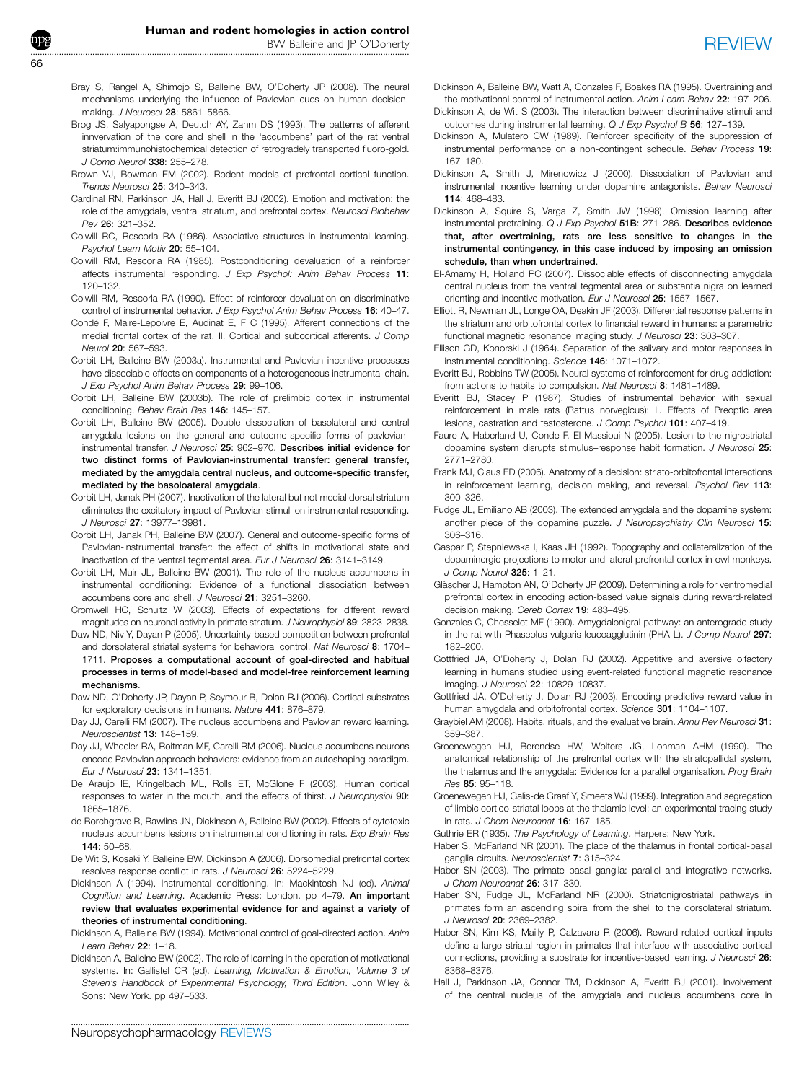- <span id="page-18-0"></span>Bray S, Rangel A, Shimojo S, Balleine BW, O'Doherty JP (2008). The neural mechanisms underlying the influence of Pavlovian cues on human decisionmaking. J Neurosci 28: 5861–5866.
- Brog JS, Salyapongse A, Deutch AY, Zahm DS (1993). The patterns of afferent innvervation of the core and shell in the 'accumbens' part of the rat ventral striatum:immunohistochemical detection of retrogradely transported fluoro-gold. J Comp Neurol 338: 255–278.
- Brown VJ, Bowman EM (2002). Rodent models of prefrontal cortical function. Trends Neurosci 25: 340–343.
- Cardinal RN, Parkinson JA, Hall J, Everitt BJ (2002). Emotion and motivation: the role of the amygdala, ventral striatum, and prefrontal cortex. Neurosci Biobehav Rev 26: 321–352.
- Colwill RC, Rescorla RA (1986). Associative structures in instrumental learning. Psychol Learn Motiv 20: 55–104.
- Colwill RM, Rescorla RA (1985). Postconditioning devaluation of a reinforcer affects instrumental responding. J Exp Psychol: Anim Behav Process 11: 120–132.
- Colwill RM, Rescorla RA (1990). Effect of reinforcer devaluation on discriminative control of instrumental behavior. J Exp Psychol Anim Behav Process 16: 40–47.
- Condé F, Maire-Lepoivre E, Audinat E, F C (1995). Afferent connections of the medial frontal cortex of the rat. II. Cortical and subcortical afferents. J Comp Neurol 20: 567–593.
- Corbit LH, Balleine BW (2003a). Instrumental and Pavlovian incentive processes have dissociable effects on components of a heterogeneous instrumental chain. J Exp Psychol Anim Behav Process 29: 99–106.
- Corbit LH, Balleine BW (2003b). The role of prelimbic cortex in instrumental conditioning. Behav Brain Res 146: 145–157.
- Corbit LH, Balleine BW (2005). Double dissociation of basolateral and central amygdala lesions on the general and outcome-specific forms of pavlovianinstrumental transfer. J Neurosci 25: 962–970. Describes initial evidence for two distinct forms of Pavlovian-instrumental transfer: general transfer, mediated by the amygdala central nucleus, and outcome-specific transfer, mediated by the basoloateral amygdala.
- Corbit LH, Janak PH (2007). Inactivation of the lateral but not medial dorsal striatum eliminates the excitatory impact of Pavlovian stimuli on instrumental responding. J Neurosci 27: 13977–13981.
- Corbit LH, Janak PH, Balleine BW (2007). General and outcome-specific forms of Pavlovian-instrumental transfer: the effect of shifts in motivational state and inactivation of the ventral tegmental area. Eur J Neurosci 26: 3141-3149.
- Corbit LH, Muir JL, Balleine BW (2001). The role of the nucleus accumbens in instrumental conditioning: Evidence of a functional dissociation between accumbens core and shell. J Neurosci 21: 3251–3260.
- Cromwell HC, Schultz W (2003). Effects of expectations for different reward magnitudes on neuronal activity in primate striatum. J Neurophysiol 89: 2823–2838.
- Daw ND, Niv Y, Dayan P (2005). Uncertainty-based competition between prefrontal and dorsolateral striatal systems for behavioral control. Nat Neurosci 8: 1704– 1711. Proposes a computational account of goal-directed and habitual processes in terms of model-based and model-free reinforcement learning mechanisms.
- Daw ND, O'Doherty JP, Dayan P, Seymour B, Dolan RJ (2006). Cortical substrates for exploratory decisions in humans. Nature 441: 876–879.
- Day JJ, Carelli RM (2007). The nucleus accumbens and Pavlovian reward learning. Neuroscientist 13: 148–159.
- Day JJ, Wheeler RA, Roitman MF, Carelli RM (2006). Nucleus accumbens neurons encode Pavlovian approach behaviors: evidence from an autoshaping paradigm. Eur J Neurosci 23: 1341–1351.
- De Araujo IE, Kringelbach ML, Rolls ET, McGlone F (2003). Human cortical responses to water in the mouth, and the effects of thirst. J Neurophysiol 90: 1865–1876.
- de Borchgrave R, Rawlins JN, Dickinson A, Balleine BW (2002). Effects of cytotoxic nucleus accumbens lesions on instrumental conditioning in rats. Exp Brain Res 144: 50–68.
- De Wit S, Kosaki Y, Balleine BW, Dickinson A (2006). Dorsomedial prefrontal cortex resolves response conflict in rats. J Neurosci 26: 5224–5229.
- Dickinson A (1994). Instrumental conditioning. In: Mackintosh NJ (ed). Animal Cognition and Learning. Academic Press: London. pp 4–79. An important review that evaluates experimental evidence for and against a variety of theories of instrumental conditioning.
- Dickinson A, Balleine BW (1994). Motivational control of goal-directed action. Anim Learn Behav 22: 1–18.
- Dickinson A, Balleine BW (2002). The role of learning in the operation of motivational systems. In: Gallistel CR (ed). Learning, Motivation & Emotion, Volume 3 of Steven's Handbook of Experimental Psychology, Third Edition. John Wiley & Sons: New York. pp 497–533.
- Dickinson A, Balleine BW, Watt A, Gonzales F, Boakes RA (1995). Overtraining and the motivational control of instrumental action. Anim Learn Behav 22: 197-206.
- Dickinson A, de Wit S (2003). The interaction between discriminative stimuli and outcomes during instrumental learning. Q J Exp Psychol B 56: 127–139.
- Dickinson A, Mulatero CW (1989). Reinforcer specificity of the suppression of instrumental performance on a non-contingent schedule. Behav Process 19: 167–180.
- Dickinson A, Smith J, Mirenowicz J (2000). Dissociation of Pavlovian and instrumental incentive learning under dopamine antagonists. Behav Neurosci 114: 468–483.
- Dickinson A, Squire S, Varga Z, Smith JW (1998). Omission learning after instrumental pretraining. Q J Exp Psychol 51B: 271-286. Describes evidence that, after overtraining, rats are less sensitive to changes in the instrumental contingency, in this case induced by imposing an omission schedule, than when undertrained.
- El-Amamy H, Holland PC (2007). Dissociable effects of disconnecting amygdala central nucleus from the ventral tegmental area or substantia nigra on learned orienting and incentive motivation. Eur J Neurosci 25: 1557-1567.
- Elliott R, Newman JL, Longe OA, Deakin JF (2003). Differential response patterns in the striatum and orbitofrontal cortex to financial reward in humans: a parametric functional magnetic resonance imaging study. J Neurosci 23: 303–307.
- Ellison GD, Konorski J (1964). Separation of the salivary and motor responses in instrumental conditioning. Science 146: 1071–1072.
- Everitt BJ, Robbins TW (2005). Neural systems of reinforcement for drug addiction: from actions to habits to compulsion. Nat Neurosci 8: 1481–1489.
- Everitt BJ, Stacey P (1987). Studies of instrumental behavior with sexual reinforcement in male rats (Rattus norvegicus): II. Effects of Preoptic area lesions, castration and testosterone. J Comp Psychol 101: 407–419.
- Faure A, Haberland U, Conde F, El Massioui N (2005). Lesion to the nigrostriatal dopamine system disrupts stimulus–response habit formation. J Neurosci 25: 2771–2780.
- Frank MJ, Claus ED (2006). Anatomy of a decision: striato-orbitofrontal interactions in reinforcement learning, decision making, and reversal. Psychol Rev 113: 300–326.
- Fudge JL, Emiliano AB (2003). The extended amygdala and the dopamine system: another piece of the dopamine puzzle. J Neuropsychiatry Clin Neurosci 15: 306–316.
- Gaspar P, Stepniewska I, Kaas JH (1992). Topography and collateralization of the dopaminergic projections to motor and lateral prefrontal cortex in owl monkeys. J Comp Neurol 325: 1–21.
- Gläscher J, Hampton AN, O'Doherty JP (2009). Determining a role for ventromedial prefrontal cortex in encoding action-based value signals during reward-related decision making. Cereb Cortex 19: 483-495.
- Gonzales C, Chesselet MF (1990). Amygdalonigral pathway: an anterograde study in the rat with Phaseolus vulgaris leucoagglutinin (PHA-L). J Comp Neurol 297: 182–200.
- Gottfried JA, O'Doherty J, Dolan RJ (2002). Appetitive and aversive olfactory learning in humans studied using event-related functional magnetic resonance imaging. J Neurosci 22: 10829–10837.
- Gottfried JA, O'Doherty J, Dolan RJ (2003). Encoding predictive reward value in human amygdala and orbitofrontal cortex. Science 301: 1104-1107.
- Graybiel AM (2008). Habits, rituals, and the evaluative brain. Annu Rev Neurosci 31: 359–387.
- Groenewegen HJ, Berendse HW, Wolters JG, Lohman AHM (1990). The anatomical relationship of the prefrontal cortex with the striatopallidal system, the thalamus and the amygdala: Evidence for a parallel organisation. Prog Brain Res 85: 95–118.
- Groenewegen HJ, Galis-de Graaf Y, Smeets WJ (1999). Integration and segregation of limbic cortico-striatal loops at the thalamic level: an experimental tracing study in rats. J Chem Neuroanat 16: 167-185.
- Guthrie ER (1935). The Psychology of Learning. Harpers: New York.
- Haber S, McFarland NR (2001). The place of the thalamus in frontal cortical-basal ganglia circuits. Neuroscientist 7: 315–324.
- Haber SN (2003). The primate basal ganglia: parallel and integrative networks. J Chem Neuroanat 26: 317–330.
- Haber SN, Fudge JL, McFarland NR (2000). Striatonigrostriatal pathways in primates form an ascending spiral from the shell to the dorsolateral striatum. J Neurosci 20: 2369–2382.
- Haber SN, Kim KS, Mailly P, Calzavara R (2006). Reward-related cortical inputs define a large striatal region in primates that interface with associative cortical connections, providing a substrate for incentive-based learning. J Neurosci 26: 8368–8376.
- Hall J, Parkinson JA, Connor TM, Dickinson A, Everitt BJ (2001). Involvement of the central nucleus of the amygdala and nucleus accumbens core in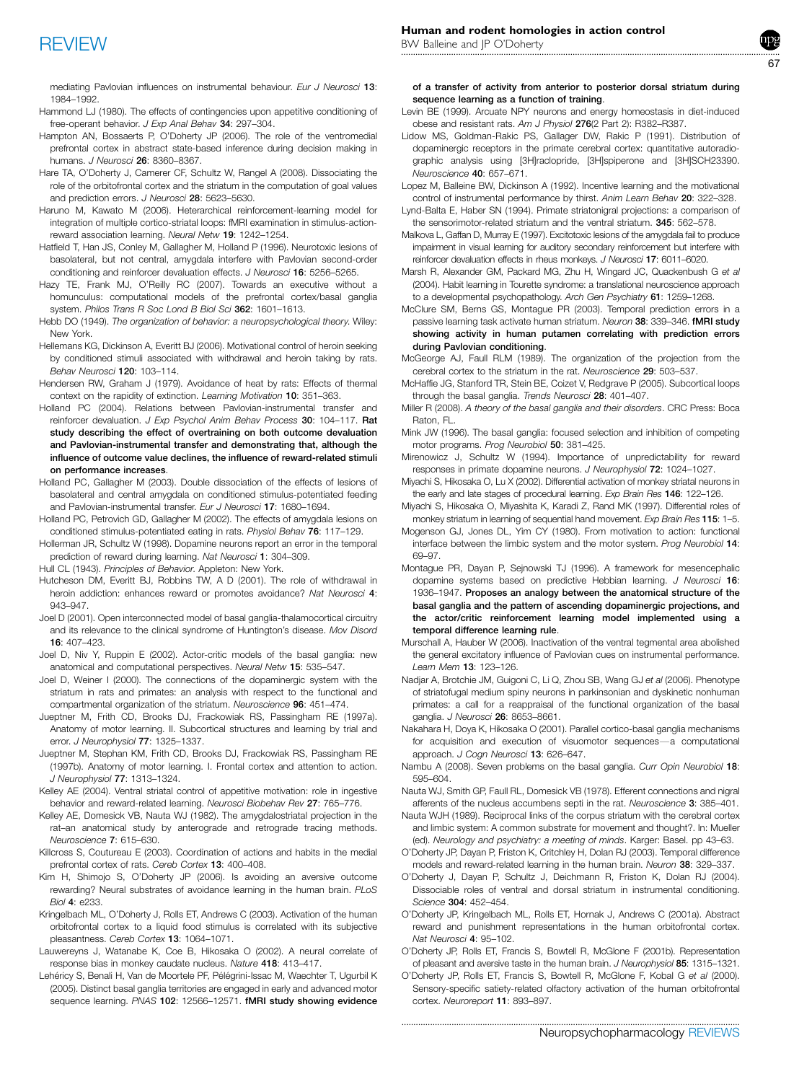<span id="page-19-0"></span>mediating Pavlovian influences on instrumental behaviour. Eur J Neurosci 13: 1984–1992.

- Hammond LJ (1980). The effects of contingencies upon appetitive conditioning of free-operant behavior. J Exp Anal Behav 34: 297–304.
- Hampton AN, Bossaerts P, O'Doherty JP (2006). The role of the ventromedial prefrontal cortex in abstract state-based inference during decision making in humans. J Neurosci 26: 8360-8367.
- Hare TA, O'Doherty J, Camerer CF, Schultz W, Rangel A (2008). Dissociating the role of the orbitofrontal cortex and the striatum in the computation of goal values and prediction errors. J Neurosci 28: 5623-5630.
- Haruno M, Kawato M (2006). Heterarchical reinforcement-learning model for integration of multiple cortico-striatal loops: fMRI examination in stimulus-actionreward association learning. Neural Netw 19: 1242–1254.
- Hatfield T, Han JS, Conley M, Gallagher M, Holland P (1996). Neurotoxic lesions of basolateral, but not central, amygdala interfere with Pavlovian second-order conditioning and reinforcer devaluation effects. J Neurosci 16: 5256-5265.
- Hazy TE, Frank MJ, O'Reilly RC (2007). Towards an executive without a homunculus: computational models of the prefrontal cortex/basal ganglia system. Philos Trans R Soc Lond B Biol Sci 362: 1601-1613.
- Hebb DO (1949). The organization of behavior: a neuropsychological theory. Wiley: New York.
- Hellemans KG, Dickinson A, Everitt BJ (2006). Motivational control of heroin seeking by conditioned stimuli associated with withdrawal and heroin taking by rats. Behav Neurosci 120: 103–114.
- Hendersen RW, Graham J (1979). Avoidance of heat by rats: Effects of thermal context on the rapidity of extinction. Learning Motivation 10: 351-363.
- Holland PC (2004). Relations between Pavlovian-instrumental transfer and reinforcer devaluation. J Exp Psychol Anim Behav Process 30: 104-117. Rat study describing the effect of overtraining on both outcome devaluation and Pavlovian-instrumental transfer and demonstrating that, although the influence of outcome value declines, the influence of reward-related stimuli on performance increases.
- Holland PC, Gallagher M (2003). Double dissociation of the effects of lesions of basolateral and central amygdala on conditioned stimulus-potentiated feeding and Pavlovian-instrumental transfer. Eur J Neurosci 17: 1680–1694.
- Holland PC, Petrovich GD, Gallagher M (2002). The effects of amygdala lesions on conditioned stimulus-potentiated eating in rats. Physiol Behav 76: 117–129.
- Hollerman JR, Schultz W (1998). Dopamine neurons report an error in the temporal prediction of reward during learning. Nat Neurosci 1: 304–309.
- Hull CL (1943). Principles of Behavior. Appleton: New York.
- Hutcheson DM, Everitt BJ, Robbins TW, A D (2001). The role of withdrawal in heroin addiction: enhances reward or promotes avoidance? Nat Neurosci 4: 943–947.
- Joel D (2001). Open interconnected model of basal ganglia-thalamocortical circuitry and its relevance to the clinical syndrome of Huntington's disease. Mov Disord 16: 407–423.
- Joel D, Niv Y, Ruppin E (2002). Actor-critic models of the basal ganglia: new anatomical and computational perspectives. Neural Netw 15: 535–547.
- Joel D, Weiner I (2000). The connections of the dopaminergic system with the striatum in rats and primates: an analysis with respect to the functional and compartmental organization of the striatum. Neuroscience 96: 451–474.
- Jueptner M, Frith CD, Brooks DJ, Frackowiak RS, Passingham RE (1997a). Anatomy of motor learning. II. Subcortical structures and learning by trial and error. J Neurophysiol 77: 1325–1337.
- Jueptner M, Stephan KM, Frith CD, Brooks DJ, Frackowiak RS, Passingham RE (1997b). Anatomy of motor learning. I. Frontal cortex and attention to action. J Neurophysiol 77: 1313–1324.
- Kelley AE (2004). Ventral striatal control of appetitive motivation: role in ingestive behavior and reward-related learning. Neurosci Biobehav Rev 27: 765–776.
- Kelley AE, Domesick VB, Nauta WJ (1982). The amygdalostriatal projection in the rat–an anatomical study by anterograde and retrograde tracing methods. Neuroscience 7: 615–630.
- Killcross S, Coutureau E (2003). Coordination of actions and habits in the medial prefrontal cortex of rats. Cereb Cortex 13: 400–408.
- Kim H, Shimojo S, O'Doherty JP (2006). Is avoiding an aversive outcome rewarding? Neural substrates of avoidance learning in the human brain. PLoS Biol 4: e233.
- Kringelbach ML, O'Doherty J, Rolls ET, Andrews C (2003). Activation of the human orbitofrontal cortex to a liquid food stimulus is correlated with its subjective pleasantness. Cereb Cortex 13: 1064–1071.
- Lauwereyns J, Watanabe K, Coe B, Hikosaka O (2002). A neural correlate of response bias in monkey caudate nucleus. Nature 418: 413–417.
- Lehéricy S, Benali H, Van de Moortele PF, Pélégrini-Issac M, Waechter T, Ugurbil K (2005). Distinct basal ganglia territories are engaged in early and advanced motor sequence learning. PNAS 102: 12566-12571. fMRI study showing evidence
- of a transfer of activity from anterior to posterior dorsal striatum during sequence learning as a function of training.
- Levin BE (1999). Arcuate NPY neurons and energy homeostasis in diet-induced obese and resistant rats. Am J Physiol 276(2 Part 2): R382–R387.
- Lidow MS, Goldman-Rakic PS, Gallager DW, Rakic P (1991). Distribution of dopaminergic receptors in the primate cerebral cortex: quantitative autoradiographic analysis using [3H]raclopride, [3H]spiperone and [3H]SCH23390. Neuroscience 40: 657–671.
- Lopez M, Balleine BW, Dickinson A (1992). Incentive learning and the motivational control of instrumental performance by thirst. Anim Learn Behav 20: 322–328.
- Lynd-Balta E, Haber SN (1994). Primate striatonigral projections: a comparison of the sensorimotor-related striatum and the ventral striatum. 345: 562–578.
- Malkova L, Gaffan D, Murray E (1997). Excitotoxic lesions of the amygdala fail to produce impairment in visual learning for auditory secondary reinforcement but interfere with reinforcer devaluation effects in rheus monkeys. J Neurosci 17: 6011–6020.
- Marsh R, Alexander GM, Packard MG, Zhu H, Wingard JC, Quackenbush G et al (2004). Habit learning in Tourette syndrome: a translational neuroscience approach to a developmental psychopathology. Arch Gen Psychiatry 61: 1259-1268.
- McClure SM, Berns GS, Montague PR (2003). Temporal prediction errors in a passive learning task activate human striatum. Neuron 38: 339-346. fMRI study showing activity in human putamen correlating with prediction errors during Pavlovian conditioning.
- McGeorge AJ, Faull RLM (1989). The organization of the projection from the cerebral cortex to the striatum in the rat. Neuroscience 29: 503–537.
- McHaffie JG, Stanford TR, Stein BE, Coizet V, Redgrave P (2005). Subcortical loops through the basal ganglia. Trends Neurosci 28: 401-407.
- Miller R (2008). A theory of the basal ganglia and their disorders. CRC Press: Boca Raton, FL.
- Mink JW (1996). The basal ganglia: focused selection and inhibition of competing motor programs. Prog Neurobiol 50: 381–425.
- Mirenowicz J, Schultz W (1994). Importance of unpredictability for reward responses in primate dopamine neurons. J Neurophysiol 72: 1024–1027.
- Miyachi S, Hikosaka O, Lu X (2002). Differential activation of monkey striatal neurons in the early and late stages of procedural learning. Exp Brain Res 146: 122-126.
- Miyachi S, Hikosaka O, Miyashita K, Karadi Z, Rand MK (1997). Differential roles of monkey striatum in learning of sequential hand movement. Exp Brain Res 115: 1-5.
- Mogenson GJ, Jones DL, Yim CY (1980). From motivation to action: functional interface between the limbic system and the motor system. Prog Neurobiol 14: 69–97.
- Montague PR, Dayan P, Sejnowski TJ (1996). A framework for mesencephalic dopamine systems based on predictive Hebbian learning. J Neurosci 16: 1936–1947. Proposes an analogy between the anatomical structure of the basal ganglia and the pattern of ascending dopaminergic projections, and the actor/critic reinforcement learning model implemented using a temporal difference learning rule.
- Murschall A, Hauber W (2006). Inactivation of the ventral tegmental area abolished the general excitatory influence of Pavlovian cues on instrumental performance. Learn Mem 13: 123–126.
- Nadjar A, Brotchie JM, Guigoni C, Li Q, Zhou SB, Wang GJ et al (2006). Phenotype of striatofugal medium spiny neurons in parkinsonian and dyskinetic nonhuman primates: a call for a reappraisal of the functional organization of the basal ganglia. J Neurosci 26: 8653–8661.
- Nakahara H, Doya K, Hikosaka O (2001). Parallel cortico-basal ganglia mechanisms for acquisition and execution of visuomotor sequences-a computational approach. J Cogn Neurosci 13: 626-647.
- Nambu A (2008). Seven problems on the basal ganglia. Curr Opin Neurobiol 18: 595–604.
- Nauta WJ, Smith GP, Faull RL, Domesick VB (1978). Efferent connections and nigral afferents of the nucleus accumbens septi in the rat. Neuroscience 3: 385-401.
- Nauta WJH (1989). Reciprocal links of the corpus striatum with the cerebral cortex and limbic system: A common substrate for movement and thought?. In: Mueller (ed). Neurology and psychiatry: a meeting of minds. Karger: Basel. pp 43–63.
- O'Doherty JP, Dayan P, Friston K, Critchley H, Dolan RJ (2003). Temporal difference models and reward-related learning in the human brain. Neuron 38: 329–337.
- O'Doherty J, Dayan P, Schultz J, Deichmann R, Friston K, Dolan RJ (2004). Dissociable roles of ventral and dorsal striatum in instrumental conditioning. Science 304: 452–454.
- O'Doherty JP, Kringelbach ML, Rolls ET, Hornak J, Andrews C (2001a). Abstract reward and punishment representations in the human orbitofrontal cortex. Nat Neurosci 4: 95–102.
- O'Doherty JP, Rolls ET, Francis S, Bowtell R, McGlone F (2001b). Representation of pleasant and aversive taste in the human brain. J Neurophysiol 85: 1315–1321.
- O'Doherty JP, Rolls ET, Francis S, Bowtell R, McGlone F, Kobal G et al (2000). Sensory-specific satiety-related olfactory activation of the human orbitofrontal cortex. Neuroreport 11: 893–897.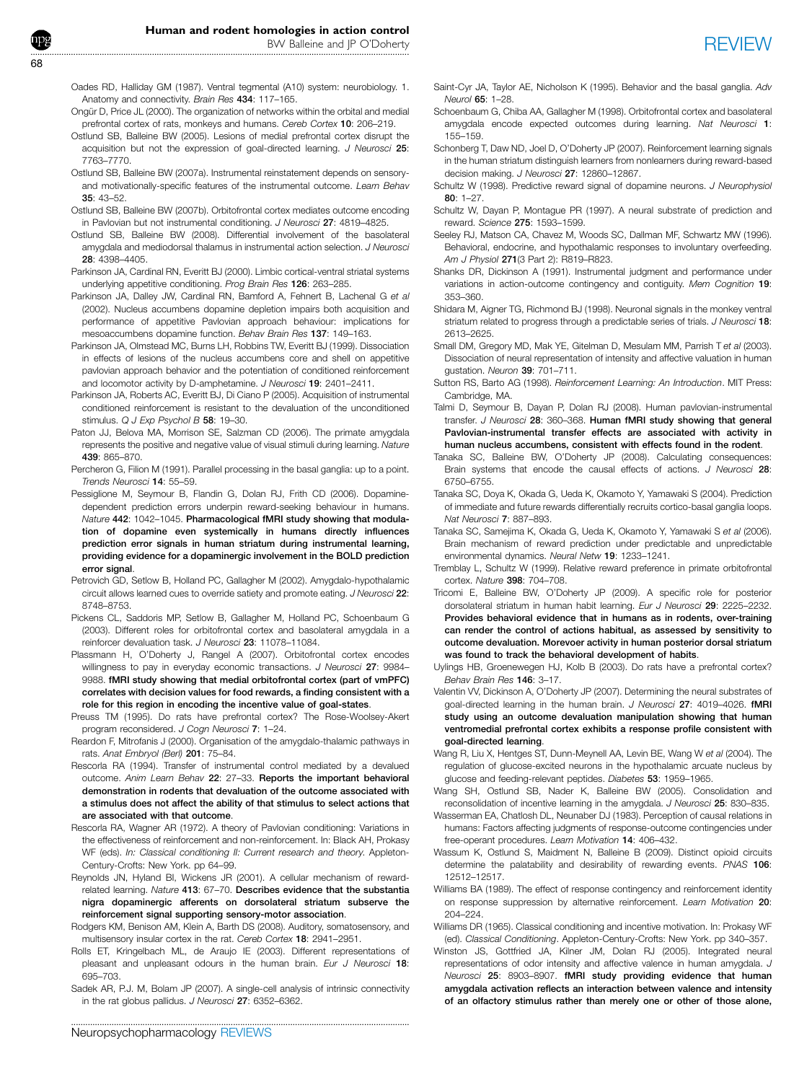- <span id="page-20-0"></span>Oades RD, Halliday GM (1987). Ventral tegmental (A10) system: neurobiology. 1. Anatomy and connectivity. Brain Res 434: 117–165.
- Ongür D, Price JL (2000). The organization of networks within the orbital and medial prefrontal cortex of rats, monkeys and humans. Cereb Cortex 10: 206–219.
- Ostlund SB, Balleine BW (2005). Lesions of medial prefrontal cortex disrupt the acquisition but not the expression of goal-directed learning. J Neurosci 25: 7763–7770.
- Ostlund SB, Balleine BW (2007a). Instrumental reinstatement depends on sensoryand motivationally-specific features of the instrumental outcome. Learn Behav 35: 43–52.
- Ostlund SB, Balleine BW (2007b). Orbitofrontal cortex mediates outcome encoding in Pavlovian but not instrumental conditioning. J Neurosci 27: 4819–4825.
- Ostlund SB, Balleine BW (2008). Differential involvement of the basolateral amygdala and mediodorsal thalamus in instrumental action selection. J Neurosci 28: 4398–4405.
- Parkinson JA, Cardinal RN, Everitt BJ (2000). Limbic cortical-ventral striatal systems underlying appetitive conditioning. Prog Brain Res 126: 263–285.
- Parkinson JA, Dalley JW, Cardinal RN, Bamford A, Fehnert B, Lachenal G et al (2002). Nucleus accumbens dopamine depletion impairs both acquisition and performance of appetitive Pavlovian approach behaviour: implications for mesoaccumbens dopamine function. Behav Brain Res 137: 149–163.
- Parkinson JA, Olmstead MC, Burns LH, Robbins TW, Everitt BJ (1999). Dissociation in effects of lesions of the nucleus accumbens core and shell on appetitive pavlovian approach behavior and the potentiation of conditioned reinforcement and locomotor activity by D-amphetamine. J Neurosci 19: 2401–2411.
- Parkinson JA, Roberts AC, Everitt BJ, Di Ciano P (2005). Acquisition of instrumental conditioned reinforcement is resistant to the devaluation of the unconditioned stimulus. Q J Exp Psychol B 58: 19-30.
- Paton JJ, Belova MA, Morrison SE, Salzman CD (2006). The primate amygdala represents the positive and negative value of visual stimuli during learning. Nature 439: 865–870.
- Percheron G, Filion M (1991). Parallel processing in the basal ganglia: up to a point. Trends Neurosci 14: 55–59.
- Pessiglione M, Seymour B, Flandin G, Dolan RJ, Frith CD (2006). Dopaminedependent prediction errors underpin reward-seeking behaviour in humans. Nature 442: 1042–1045. Pharmacological fMRI study showing that modulation of dopamine even systemically in humans directly influences prediction error signals in human striatum during instrumental learning, providing evidence for a dopaminergic involvement in the BOLD prediction error signal.
- Petrovich GD, Setlow B, Holland PC, Gallagher M (2002). Amygdalo-hypothalamic circuit allows learned cues to override satiety and promote eating. J Neurosci 22: 8748–8753.
- Pickens CL, Saddoris MP, Setlow B, Gallagher M, Holland PC, Schoenbaum G (2003). Different roles for orbitofrontal cortex and basolateral amygdala in a reinforcer devaluation task. J Neurosci 23: 11078–11084.
- Plassmann H, O'Doherty J, Rangel A (2007). Orbitofrontal cortex encodes willingness to pay in everyday economic transactions. J Neurosci 27: 9984-9988. fMRI study showing that medial orbitofrontal cortex (part of vmPFC) correlates with decision values for food rewards, a finding consistent with a role for this region in encoding the incentive value of goal-states.
- Preuss TM (1995). Do rats have prefrontal cortex? The Rose-Woolsey-Akert program reconsidered. J Cogn Neurosci 7: 1–24.
- Reardon F, Mitrofanis J (2000). Organisation of the amygdalo-thalamic pathways in rats. Anat Embryol (Berl) 201: 75–84.
- Rescorla RA (1994). Transfer of instrumental control mediated by a devalued outcome. Anim Learn Behav 22: 27–33. Reports the important behavioral demonstration in rodents that devaluation of the outcome associated with a stimulus does not affect the ability of that stimulus to select actions that are associated with that outcome.
- Rescorla RA, Wagner AR (1972). A theory of Pavlovian conditioning: Variations in the effectiveness of reinforcement and non-reinforcement. In: Black AH, Prokasy WF (eds). In: Classical conditioning II: Current research and theory. Appleton-Century-Crofts: New York. pp 64–99.
- Reynolds JN, Hyland BI, Wickens JR (2001). A cellular mechanism of rewardrelated learning. Nature 413: 67–70. Describes evidence that the substantia nigra dopaminergic afferents on dorsolateral striatum subserve the reinforcement signal supporting sensory-motor association.
- Rodgers KM, Benison AM, Klein A, Barth DS (2008). Auditory, somatosensory, and multisensory insular cortex in the rat. Cereb Cortex 18: 2941–2951.
- Rolls ET, Kringelbach ML, de Araujo IE (2003). Different representations of pleasant and unpleasant odours in the human brain. Eur J Neurosci 18: 695–703.
- Sadek AR, P.J. M, Bolam JP (2007). A single-cell analysis of intrinsic connectivity in the rat globus pallidus. J Neurosci 27: 6352-6362.
- Saint-Cyr JA, Taylor AE, Nicholson K (1995). Behavior and the basal ganglia. Adv Neurol 65: 1–28.
- Schoenbaum G, Chiba AA, Gallagher M (1998). Orbitofrontal cortex and basolateral amygdala encode expected outcomes during learning. Nat Neurosci 1: 155–159.
- Schonberg T, Daw ND, Joel D, O'Doherty JP (2007). Reinforcement learning signals in the human striatum distinguish learners from nonlearners during reward-based decision making. J Neurosci 27: 12860-12867.
- Schultz W (1998). Predictive reward signal of dopamine neurons. J Neurophysiol 80: 1–27.
- Schultz W, Dayan P, Montague PR (1997). A neural substrate of prediction and reward. Science 275: 1593–1599.
- Seeley RJ, Matson CA, Chavez M, Woods SC, Dallman MF, Schwartz MW (1996). Behavioral, endocrine, and hypothalamic responses to involuntary overfeeding. Am J Physiol 271(3 Part 2): R819-R823.
- Shanks DR, Dickinson A (1991). Instrumental judgment and performance under variations in action-outcome contingency and contiguity. Mem Cognition 19: 353–360.
- Shidara M, Aigner TG, Richmond BJ (1998). Neuronal signals in the monkey ventral striatum related to progress through a predictable series of trials. *J Neurosci* 18: 2613–2625.
- Small DM, Gregory MD, Mak YE, Gitelman D, Mesulam MM, Parrish T et al (2003). Dissociation of neural representation of intensity and affective valuation in human gustation. Neuron 39: 701–711.
- Sutton RS, Barto AG (1998). Reinforcement Learning: An Introduction. MIT Press: Cambridge, MA.
- Talmi D, Seymour B, Dayan P, Dolan RJ (2008). Human pavlovian-instrumental transfer. J Neurosci 28: 360-368. Human fMRI study showing that general Pavlovian-instrumental transfer effects are associated with activity in human nucleus accumbens, consistent with effects found in the rodent.
- Tanaka SC, Balleine BW, O'Doherty JP (2008). Calculating consequences: Brain systems that encode the causal effects of actions. *J Neurosci* 28: 6750–6755.
- Tanaka SC, Doya K, Okada G, Ueda K, Okamoto Y, Yamawaki S (2004). Prediction of immediate and future rewards differentially recruits cortico-basal ganglia loops. Nat Neurosci 7: 887–893.
- Tanaka SC, Samejima K, Okada G, Ueda K, Okamoto Y, Yamawaki S et al (2006). Brain mechanism of reward prediction under predictable and unpredictable environmental dynamics. Neural Netw 19: 1233–1241.
- Tremblay L, Schultz W (1999). Relative reward preference in primate orbitofrontal cortex. Nature 398: 704–708.
- Tricomi E, Balleine BW, O'Doherty JP (2009). A specific role for posterior dorsolateral striatum in human habit learning. Eur J Neurosci 29: 2225-2232. Provides behavioral evidence that in humans as in rodents, over-training can render the control of actions habitual, as assessed by sensitivity to outcome devaluation. Morevoer activity in human posterior dorsal striatum was found to track the behavioral development of habits.
- Uylings HB, Groenewegen HJ, Kolb B (2003). Do rats have a prefrontal cortex? Behav Brain Res 146: 3–17.
- Valentin VV, Dickinson A, O'Doherty JP (2007). Determining the neural substrates of goal-directed learning in the human brain. J Neurosci 27: 4019-4026. fMRI study using an outcome devaluation manipulation showing that human ventromedial prefrontal cortex exhibits a response profile consistent with goal-directed learning.
- Wang R, Liu X, Hentges ST, Dunn-Meynell AA, Levin BE, Wang W et al (2004). The regulation of glucose-excited neurons in the hypothalamic arcuate nucleus by glucose and feeding-relevant peptides. Diabetes 53: 1959–1965.
- Wang SH, Ostlund SB, Nader K, Balleine BW (2005). Consolidation and reconsolidation of incentive learning in the amygdala. J Neurosci 25: 830-835.
- Wasserman EA, Chatlosh DL, Neunaber DJ (1983). Perception of causal relations in humans: Factors affecting judgments of response-outcome contingencies under free-operant procedures. Learn Motivation 14: 406–432.
- Wassum K, Ostlund S, Maidment N, Balleine B (2009). Distinct opioid circuits determine the palatability and desirability of rewarding events. PNAS 106: 12512–12517.
- Williams BA (1989). The effect of response contingency and reinforcement identity on response suppression by alternative reinforcement. Learn Motivation 20: 204–224.
- Williams DR (1965). Classical conditioning and incentive motivation. In: Prokasy WF (ed). Classical Conditioning. Appleton-Century-Crofts: New York. pp 340–357.
- Winston JS, Gottfried JA, Kilner JM, Dolan RJ (2005). Integrated neural representations of odor intensity and affective valence in human amygdala. J Neurosci 25: 8903–8907. fMRI study providing evidence that human amygdala activation reflects an interaction between valence and intensity of an olfactory stimulus rather than merely one or other of those alone,